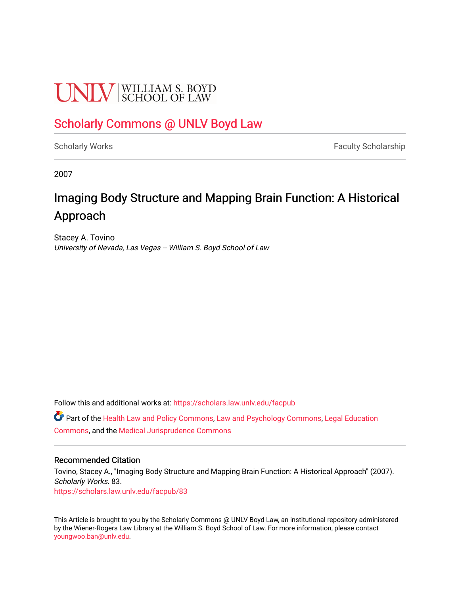# **UNIV** SCHOOL OF LAW

## [Scholarly Commons @ UNLV Boyd Law](https://scholars.law.unlv.edu/)

[Scholarly Works](https://scholars.law.unlv.edu/facpub) **Faculty Scholarship** Faculty Scholarship

2007

# Imaging Body Structure and Mapping Brain Function: A Historical Approach

Stacey A. Tovino University of Nevada, Las Vegas -- William S. Boyd School of Law

Follow this and additional works at: [https://scholars.law.unlv.edu/facpub](https://scholars.law.unlv.edu/facpub?utm_source=scholars.law.unlv.edu%2Ffacpub%2F83&utm_medium=PDF&utm_campaign=PDFCoverPages)

Part of the [Health Law and Policy Commons](http://network.bepress.com/hgg/discipline/901?utm_source=scholars.law.unlv.edu%2Ffacpub%2F83&utm_medium=PDF&utm_campaign=PDFCoverPages), [Law and Psychology Commons,](http://network.bepress.com/hgg/discipline/870?utm_source=scholars.law.unlv.edu%2Ffacpub%2F83&utm_medium=PDF&utm_campaign=PDFCoverPages) [Legal Education](http://network.bepress.com/hgg/discipline/857?utm_source=scholars.law.unlv.edu%2Ffacpub%2F83&utm_medium=PDF&utm_campaign=PDFCoverPages) [Commons](http://network.bepress.com/hgg/discipline/857?utm_source=scholars.law.unlv.edu%2Ffacpub%2F83&utm_medium=PDF&utm_campaign=PDFCoverPages), and the [Medical Jurisprudence Commons](http://network.bepress.com/hgg/discipline/860?utm_source=scholars.law.unlv.edu%2Ffacpub%2F83&utm_medium=PDF&utm_campaign=PDFCoverPages) 

### Recommended Citation

Tovino, Stacey A., "Imaging Body Structure and Mapping Brain Function: A Historical Approach" (2007). Scholarly Works. 83. [https://scholars.law.unlv.edu/facpub/83](https://scholars.law.unlv.edu/facpub/83?utm_source=scholars.law.unlv.edu%2Ffacpub%2F83&utm_medium=PDF&utm_campaign=PDFCoverPages) 

This Article is brought to you by the Scholarly Commons @ UNLV Boyd Law, an institutional repository administered by the Wiener-Rogers Law Library at the William S. Boyd School of Law. For more information, please contact [youngwoo.ban@unlv.edu.](mailto:youngwoo.ban@unlv.edu)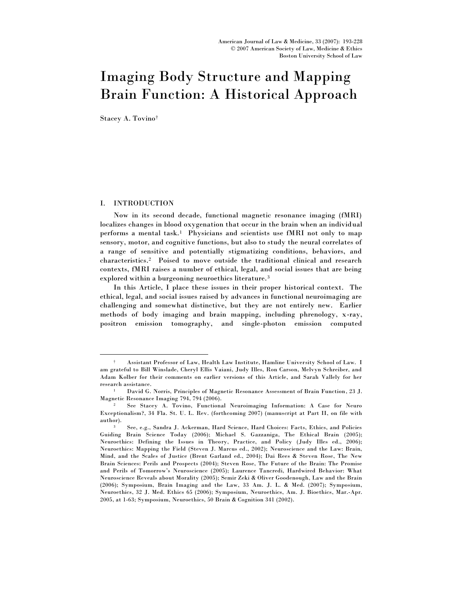# Imaging Body Structure and Mapping Brain Function: A Historical Approach

Stacey A. Tovino†

#### I. INTRODUCTION

 $\overline{a}$ 

Now in its second decade, functional magnetic resonance imaging (fMRI) localizes changes in blood oxygenation that occur in the brain when an individual performs a mental task.<sup>1</sup> Physicians and scientists use fMRI not only to map sensory, motor, and cognitive functions, but also to study the neural correlates of a range of sensitive and potentially stigmatizing conditions, behaviors, and characteristics.<sup>2</sup> Poised to move outside the traditional clinical and research contexts, fMRI raises a number of ethical, legal, and social issues that are being explored within a burgeoning neuroethics literature.<sup>3</sup>

In this Article, I place these issues in their proper historical context. The ethical, legal, and social issues raised by advances in functional neuroimaging are challenging and somewhat distinctive, but they are not entirely new. Earlier methods of body imaging and brain mapping, including phrenology, x-ray, positron emission tomography, and single-photon emission computed

<sup>†</sup> Assistant Professor of Law, Health Law Institute, Hamline University School of Law. I am grateful to Bill Winslade, Cheryl Ellis Vaiani, Judy Illes, Ron Carson, Melvyn Schreiber, and Adam Kolber for their comments on earlier versions of this Article, and Sarah Vallely for her research assistance.

<sup>1</sup> David G. Norris, Principles of Magnetic Resonance Assessment of Brain Function, 23 J. Magnetic Resonance Imaging 794, 794 (2006).

<sup>2</sup> See Stacey A. Tovino, Functional Neuroimaging Information: A Case for Neuro Exceptionalism?, 34 Fla. St. U. L. Rev. (forthcoming 2007) (manuscript at Part II, on file with author).

<sup>3</sup> See, e.g., Sandra J. Ackerman, Hard Science, Hard Choices: Facts, Ethics, and Policies Guiding Brain Science Today (2006); Michael S. Gazzaniga, The Ethical Brain (2005); Neuroethics: Defining the Issues in Theory, Practice, and Policy (Judy Illes ed., 2006); Neuroethics: Mapping the Field (Steven J. Marcus ed., 2002); Neuroscience and the Law: Brain, Mind, and the Scales of Justice (Brent Garland ed., 2004); Dai Rees & Steven Rose, The New Brain Sciences: Perils and Prospects (2004); Steven Rose, The Future of the Brain: The Promise and Perils of Tomorrow's Neuroscience (2005); Laurence Tancredi, Hardwired Behavior: What Neuroscience Reveals about Morality (2005); Semir Zeki & Oliver Goodenough, Law and the Brain (2006); Symposium, Brain Imaging and the Law, 33 Am. J. L. & Med. (2007); Symposium, Neuroethics, 32 J. Med. Ethics 65 (2006); Symposium, Neuroethics, Am. J. Bioethics, Mar.-Apr. 2005, at 1-63; Symposium, Neuroethics, 50 Brain & Cognition 341 (2002).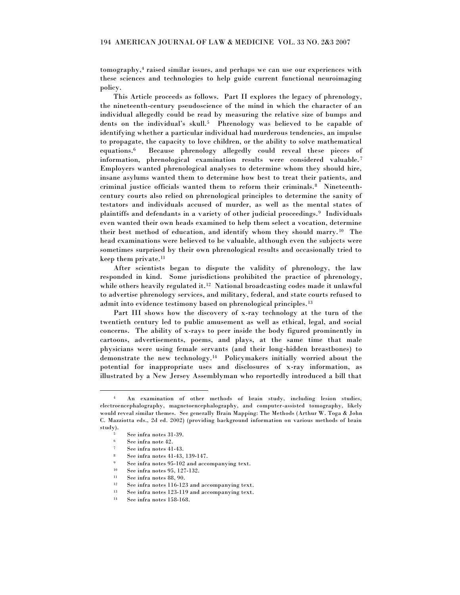tomography,<sup>4</sup> raised similar issues, and perhaps we can use our experiences with these sciences and technologies to help guide current functional neuroimaging policy.

This Article proceeds as follows. Part II explores the legacy of phrenology, the nineteenth-century pseudoscience of the mind in which the character of an individual allegedly could be read by measuring the relative size of bumps and dents on the individual's skull.<sup>5</sup> Phrenology was believed to be capable of identifying whether a particular individual had murderous tendencies, an impulse to propagate, the capacity to love children, or the ability to solve mathematical equations.<sup>6</sup> Because phrenology allegedly could reveal these pieces of information, phrenological examination results were considered valuable.<sup>7</sup> Employers wanted phrenological analyses to determine whom they should hire, insane asylums wanted them to determine how best to treat their patients, and criminal justice officials wanted them to reform their criminals.<sup>8</sup> Nineteenthcentury courts also relied on phrenological principles to determine the sanity of testators and individuals accused of murder, as well as the mental states of plaintiffs and defendants in a variety of other judicial proceedings.<sup>9</sup> Individuals even wanted their own heads examined to help them select a vocation, determine their best method of education, and identify whom they should marry.<sup>10</sup> The head examinations were believed to be valuable, although even the subjects were sometimes surprised by their own phrenological results and occasionally tried to keep them private.<sup>11</sup>

After scientists began to dispute the validity of phrenology, the law responded in kind. Some jurisdictions prohibited the practice of phrenology, while others heavily regulated it.<sup>12</sup> National broadcasting codes made it unlawful to advertise phrenology services, and military, federal, and state courts refused to admit into evidence testimony based on phrenological principles. <sup>13</sup>

Part III shows how the discovery of x-ray technology at the turn of the twentieth century led to public amusement as well as ethical, legal, and social concerns. The ability of x-rays to peer inside the body figured prominently in cartoons, advertisements, poems, and plays, at the same time that male physicians were using female servants (and their long-hidden breastbones) to demonstrate the new technology.<sup>14</sup> Policymakers initially worried about the potential for inappropriate uses and disclosures of x-ray information, as illustrated by a New Jersey Assemblyman who reportedly introduced a bill that

An examination of other methods of brain study, including lesion studies, electroencephalography, magnetoencephalography, and computer-assisted tomography, likely would reveal similar themes. See generally Brain Mapping: The Methods (Arthur W. Toga & John C. Mazziotta eds., 2d ed. 2002) (providing background information on various methods of brain study).

 $5$  See infra notes 31-39.

See infra note 42.

See infra notes 41-43.

<sup>8</sup> See infra notes 41-43, 139-147.

 $\frac{9}{10}$  See infra notes 95-102 and accompanying text.<br> $\frac{10}{10}$  See infra notes 95, 127-132

See infra notes 95, 127-132.

<sup>11</sup> See infra notes 88, 90.

<sup>12</sup> See infra notes 116-123 and accompanying text.

<sup>13</sup> See infra notes 123-119 and accompanying text.

<sup>14</sup> See infra notes 158-168.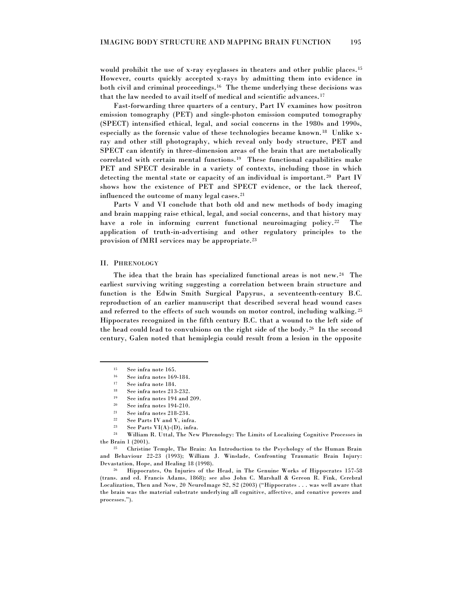would prohibit the use of x-ray eyeglasses in theaters and other public places.<sup>15</sup> However, courts quickly accepted x-rays by admitting them into evidence in both civil and criminal proceedings.<sup>16</sup> The theme underlying these decisions was that the law needed to avail itself of medical and scientific advances. <sup>17</sup>

Fast-forwarding three quarters of a century, Part IV examines how positron emission tomography (PET) and single-photon emission computed tomography (SPECT) intensified ethical, legal, and social concerns in the 1980s and 1990s, especially as the forensic value of these technologies became known.<sup>18</sup> Unlike xray and other still photography, which reveal only body structure, PET and SPECT can identify in three-dimension areas of the brain that are metabolically correlated with certain mental functions.<sup>19</sup> These functional capabilities make PET and SPECT desirable in a variety of contexts, including those in which detecting the mental state or capacity of an individual is important.<sup>20</sup> Part IV shows how the existence of PET and SPECT evidence, or the lack thereof, influenced the outcome of many legal cases.<sup>21</sup>

Parts V and VI conclude that both old and new methods of body imaging and brain mapping raise ethical, legal, and social concerns, and that history may have a role in informing current functional neuroimaging policy.<sup>22</sup> The application of truth-in-advertising and other regulatory principles to the provision of fMRI services may be appropriate.<sup>23</sup>

#### II. PHRENOLOGY

 $\overline{a}$ 

The idea that the brain has specialized functional areas is not new.<sup>24</sup> The earliest surviving writing suggesting a correlation between brain structure and function is the Edwin Smith Surgical Papyrus, a seventeenth-century B.C. reproduction of an earlier manuscript that described several head wound cases and referred to the effects of such wounds on motor control, including walking.<sup>25</sup> Hippocrates recognized in the fifth century B.C. that a wound to the left side of the head could lead to convulsions on the right side of the body. <sup>26</sup> In the second century, Galen noted that hemiplegia could result from a lesion in the opposite

<sup>26</sup> Hippocrates, On Injuries of the Head, in The Genuine Works of Hippocrates 157-58 (trans. and ed. Francis Adams, 1868); see also John C. Marshall & Gereon R. Fink, Cerebral Localization, Then and Now, 20 NeuroImage S2, S2 (2003) ("Hippocrates . . . was well aware that the brain was the material substrate underlying all cognitive, affective, and conative powers and processes.").

<sup>15</sup> See infra note 165.

 $^{16}$  See infra notes 169-184.

See infra note 184.

<sup>18</sup> See infra notes 213-232.

<sup>&</sup>lt;sup>19</sup> See infra notes  $194$  and  $209$ .<br><sup>20</sup> See infra notes  $194-210$ 

See infra notes 194-210.

<sup>21</sup> See infra notes 218-234.

<sup>&</sup>lt;sup>22</sup> See Parts IV and V, infra.<br><sup>23</sup> See Parts VI(A),(D) infra.

<sup>&</sup>lt;sup>23</sup> See Parts VI(A)-(D), infra.<br><sup>24</sup> William B. Uttal The Nov

<sup>24</sup> William R. Uttal, The New Phrenology: The Limits of Localizing Cognitive Processes in the Brain 1 (2001).

<sup>25</sup> Christine Temple, The Brain: An Introduction to the Psychology of the Human Brain and Behaviour 22-23 (1993); William J. Winslade, Confronting Traumatic Brain Injury: Devastation, Hope, and Healing 18 (1998).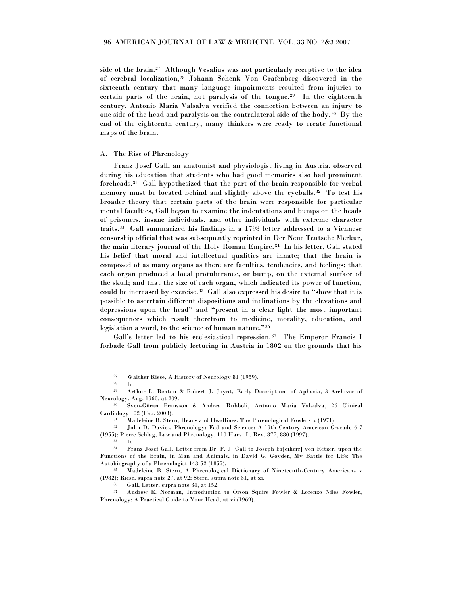side of the brain.<sup>27</sup> Although Vesalius was not particularly receptive to the idea of cerebral localization,<sup>28</sup> Johann Schenk Von Grafenberg discovered in the sixteenth century that many language impairments resulted from injuries to certain parts of the brain, not paralysis of the tongue.<sup>29</sup> In the eighteenth century, Antonio Maria Valsalva verified the connection between an injury to one side of the head and paralysis on the contralateral side of the body.<sup>30</sup> By the end of the eighteenth century, many thinkers were ready to create functional maps of the brain.

#### A. The Rise of Phrenology

Franz Josef Gall, an anatomist and physiologist living in Austria, observed during his education that students who had good memories also had prominent foreheads.<sup>31</sup> Gall hypothesized that the part of the brain responsible for verbal memory must be located behind and slightly above the eyeballs.<sup>32</sup> To test his broader theory that certain parts of the brain were responsible for particular mental faculties, Gall began to examine the indentations and bumps on the heads of prisoners, insane individuals, and other individuals with extreme character traits.<sup>33</sup> Gall summarized his findings in a 1798 letter addressed to a Viennese censorship official that was subsequently reprinted in Der Neue Teutsche Merkur, the main literary journal of the Holy Roman Empire.<sup>34</sup> In his letter, Gall stated his belief that moral and intellectual qualities are innate; that the brain is composed of as many organs as there are faculties, tendencies, and feelings; that each organ produced a local protuberance, or bump, on the external surface of the skull; and that the size of each organ, which indicated its power of function, could be increased by exercise.<sup>35</sup> Gall also expressed his desire to "show that it is possible to ascertain different dispositions and inclinations by the elevations and depressions upon the head" and "present in a clear light the most important consequences which result therefrom to medicine, morality, education, and legislation a word, to the science of human nature."36

Gall's letter led to his ecclesiastical repression.<sup>37</sup> The Emperor Francis I forbade Gall from publicly lecturing in Austria in 1802 on the grounds that his

 $\frac{27}{28}$  Walther Riese, A History of Neurology 81 (1959).

Id.

<sup>29</sup> Arthur L. Benton & Robert J. Joynt, Early Descriptions of Aphasia, 3 Archives of Neurology, Aug. 1960, at 209.

<sup>30</sup> Sven-Göran Fransson & Andrea Rubboli, Antonio Maria Valsalva, 26 Clinical Cardiology 102 (Feb. 2003).

<sup>&</sup>lt;sup>31</sup> Madeleine B. Stern, Heads and Headlines: The Phrenological Fowlers x (1971).<br><sup>32</sup> John D. Davies, Phrenology: Ead and Science: A 19th-Century American Cr

<sup>32</sup> John D. Davies, Phrenology: Fad and Science; A 19th-Century American Crusade 6-7 (1955); Pierre Schlag, Law and Phrenology, 110 Harv. L. Rev. 877, 880 (1997).

<sup>33</sup> Id.

<sup>34</sup> Franz Josef Gall, Letter from Dr. F. J. Gall to Joseph Fr[eiherr] von Retzer, upon the Functions of the Brain, in Man and Animals, in David G. Goyder, My Battle for Life: The Autobiography of a Phrenologist 143-52 (1857).

Madeleine B. Stern, A Phrenological Dictionary of Nineteenth-Century Americans x (1982); Riese, supra note 27, at 92; Stern, supra note 31, at xi.

 $36$  Gall, Letter, supra note 34, at 152.<br> $37$  Andrew E. Norman, Introduction

Andrew E. Norman, Introduction to Orson Squire Fowler & Lorenzo Niles Fowler, Phrenology: A Practical Guide to Your Head, at vi (1969).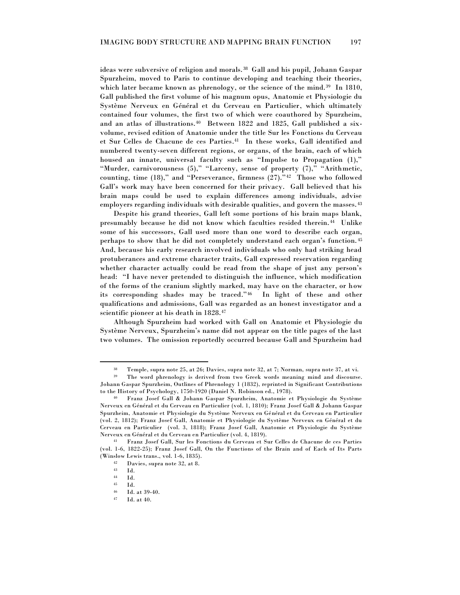ideas were subversive of religion and morals.<sup>38</sup> Gall and his pupil, Johann Gaspar Spurzheim, moved to Paris to continue developing and teaching their theories, which later became known as phrenology, or the science of the mind. $39$  In 1810, Gall published the first volume of his magnum opus, Anatomie et Physiologie du Système Nerveux en Général et du Cerveau en Particulier, which ultimately contained four volumes, the first two of which were coauthored by Spurzheim, and an atlas of illustrations.<sup>40</sup> Between 1822 and 1825, Gall published a sixvolume, revised edition of Anatomie under the title Sur les Fonctions du Cerveau et Sur Celles de Chacune de ces Parties. 41 In these works, Gall identified and numbered twenty-seven different regions, or organs, of the brain, each of which housed an innate, universal faculty such as "Impulse to Propagation (1)," "Murder, carnivorousness  $(5)$ ," "Larceny, sense of property  $(7)$ ," "Arithmetic, counting, time  $(18)$ ," and "Perseverance, firmness  $(27)$ ."<sup>42</sup> Those who followed Gall's work may have been concerned for their privacy. Gall believed that his brain maps could be used to explain differences among individuals, advise employers regarding individuals with desirable qualities, and govern the masses. <sup>43</sup>

Despite his grand theories, Gall left some portions of his brain maps blank, presumably because he did not know which faculties resided therein.<sup>44</sup> Unlike some of his successors, Gall used more than one word to describe each organ, perhaps to show that he did not completely understand each organ's function. <sup>45</sup> And, because his early research involved individuals who only had striking head protuberances and extreme character traits, Gall expressed reservation regarding whether character actually could be read from the shape of just any person's head: "I have never pretended to distinguish the influence, which modification of the forms of the cranium slightly marked, may have on the character, or how its corresponding shades may be traced."<sup>46</sup> In light of these and other qualifications and admissions, Gall was regarded as an honest investigator and a scientific pioneer at his death in 1828.<sup>47</sup>

Although Spurzheim had worked with Gall on Anatomie et Physiologie du Système Nerveux, Spurzheim's name did not appear on the title pages of the last two volumes. The omission reportedly occurred because Gall and Spurzheim had

<sup>38</sup> Temple, supra note 25, at 26; Davies, supra note 32, at 7; Norman, supra note 37, at vi.

The word phrenology is derived from two Greek words meaning mind and discourse. Johann Gaspar Spurzheim, Outlines of Phrenology 1 (1832), reprinted in Significant Contributions to the History of Psychology, 1750-1920 (Daniel N. Robinson ed., 1978).

<sup>40</sup> Franz Josef Gall & Johann Gaspar Spurzheim, Anatomie et Physiologie du Système Nerveux en Général et du Cerveau en Particulier (vol. 1, 1810); Franz Josef Gall & Johann Gaspar Spurzheim, Anatomie et Physiologie du Système Nerveux en Général et du Cerveau en Particulier (vol. 2, 1812); Franz Josef Gall, Anatomie et Physiologie du Système Nerveux en Général et du Cerveau en Particulier (vol. 3, 1818); Franz Josef Gall, Anatomie et Physiologie du Système Nerveux en Général et du Cerveau en Particulier (vol. 4, 1819).

<sup>41</sup> Franz Josef Gall, Sur les Fonctions du Cerveau et Sur Celles de Chacune de ces Parties (vol. 1-6, 1822-25); Franz Josef Gall, On the Functions of the Brain and of Each of Its Parts (Winslow Lewis trans., vol. 1-6, 1835).

 $\frac{42}{13}$  Davies, supra note 32, at 8.

<sup>43</sup> Id.

 $\frac{44}{45}$  Id.

<sup>45</sup> Id.

<sup>46</sup> Id. at 39-40.

<sup>47</sup> Id. at 40.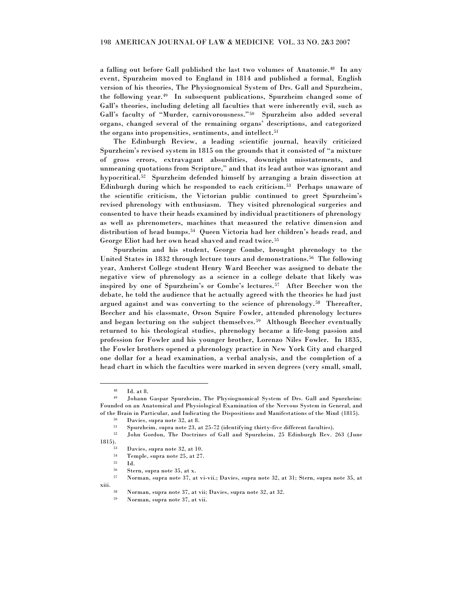a falling out before Gall published the last two volumes of Anatomie. 48 In any event, Spurzheim moved to England in 1814 and published a formal, English version of his theories, The Physiognomical System of Drs. Gall and Spurzheim, the following year.<sup>49</sup> In subsequent publications, Spurzheim changed some of Gall's theories, including deleting all faculties that were inherently evil, such as Gall's faculty of "Murder, carnivorousness."<sup>50</sup> Spurzheim also added several organs, changed several of the remaining organs' descriptions, and categorized the organs into propensities, sentiments, and intellect.<sup>51</sup>

The Edinburgh Review, a leading scientific journal, heavily criticized Spurzheim's revised system in 1815 on the grounds that it consisted of "a mixture of gross errors, extravagant absurdities, downright misstatements, and unmeaning quotations from Scripture," and that its lead author was ignorant and hypocritical.<sup>52</sup> Spurzheim defended himself by arranging a brain dissection at Edinburgh during which he responded to each criticism.<sup>53</sup> Perhaps unaware of the scientific criticism, the Victorian public continued to greet Spurzheim's revised phrenology with enthusiasm. They visited phrenological surgeries and consented to have their heads examined by individual practitioners of phrenology as well as phrenometers, machines that measured the relative dimension and distribution of head bumps.<sup>54</sup> Queen Victoria had her children's heads read, and George Eliot had her own head shaved and read twice.<sup>55</sup>

Spurzheim and his student, George Combe, brought phrenology to the United States in 1832 through lecture tours and demonstrations.<sup>56</sup> The following year, Amherst College student Henry Ward Beecher was assigned to debate the negative view of phrenology as a science in a college debate that likely was inspired by one of Spurzheim's or Combe's lectures.<sup>57</sup> After Beecher won the debate, he told the audience that he actually agreed with the theories he had just argued against and was converting to the science of phrenology.<sup>58</sup> Thereafter, Beecher and his classmate, Orson Squire Fowler, attended phrenology lectures and began lecturing on the subject themselves.<sup>59</sup> Although Beecher eventually returned to his theological studies, phrenology became a life-long passion and profession for Fowler and his younger brother, Lorenzo Niles Fowler. In 1835, the Fowler brothers opened a phrenology practice in New York City and charged one dollar for a head examination, a verbal analysis, and the completion of a head chart in which the faculties were marked in seven degrees (very small, small,

 $\overline{a}$ 

xiii.

<sup>48</sup> Id. at 8.

<sup>49</sup> Johann Gaspar Spurzheim, The Physiognomical System of Drs. Gall and Spurzheim: Founded on an Anatomical and Physiological Examination of the Nervous System in General, and of the Brain in Particular, and Indicating the Dispositions and Manifestations of the Mind (1815).

 $50$  Davies, supra note 32, at 8.<br> $51$  Spurzheim supra note 23.

 $51$  Spurzheim, supra note 23, at 25-72 (identifying thirty-five different faculties).<br> $52$  John Cardon, The Destrings of Call and Spurgheim, 25 Edinburgh Bay.

<sup>52</sup> John Gordon, The Doctrines of Gall and Spurzheim, 25 Edinburgh Rev. 263 (June 1815).

Davies, supra note 32, at 10.

 $\frac{54}{55}$  Temple, supra note 25, at 27.

 $\begin{array}{cc} 55 & \text{Id.} \\ 56 & \text{St}_2 \end{array}$ 

Stern, supra note 35, at x.

<sup>57</sup> Norman, supra note 37, at vi-vii.; Davies, supra note 32, at 31; Stern, supra note 35, at

<sup>58</sup> Norman, supra note 37, at vii; Davies, supra note 32, at 32.

<sup>59</sup> Norman, supra note 37, at vii.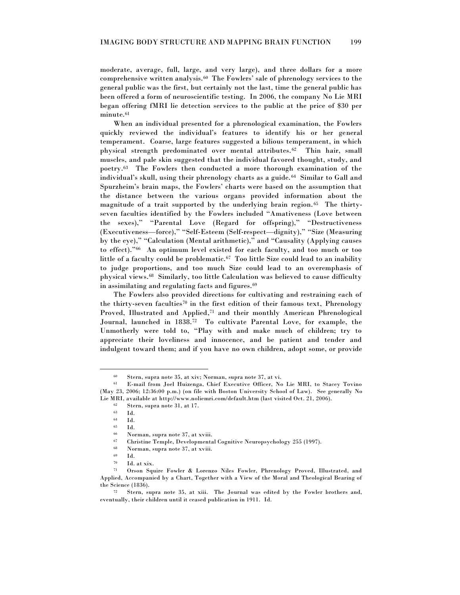moderate, average, full, large, and very large), and three dollars for a more comprehensive written analysis.<sup>60</sup> The Fowlers' sale of phrenology services to the general public was the first, but certainly not the last, time the general public has been offered a form of neuroscientific testing. In 2006, the company No Lie MRI began offering fMRI lie detection services to the public at the price of \$30 per  $\text{minute.}^{61}$ 

When an individual presented for a phrenological examination, the Fowlers quickly reviewed the individual's features to identify his or her general temperament. Coarse, large features suggested a bilious temperament, in which physical strength predominated over mental attributes.<sup>62</sup> Thin hair, small muscles, and pale skin suggested that the individual favored thought, study, and poetry.<sup>63</sup> The Fowlers then conducted a more thorough examination of the individual's skull, using their phrenology charts as a guide. <sup>64</sup> Similar to Gall and Spurzheim's brain maps, the Fowlers' charts were based on the assumption that the distance between the various organs provided information about the magnitude of a trait supported by the underlying brain region. <sup>65</sup> The thirtyseven faculties identified by the Fowlers included "Amativeness (Love between the sexes)," "Parental Love (Regard for offspring)," "Destructiveness (Executiveness—force)," "Self-Esteem (Self-respect—dignity)," "Size (Measuring by the eye)," "Calculation (Mental arithmetic)," and "Causality (Applying causes to effect)."<sup>66</sup> An optimum level existed for each faculty, and too much or too little of a faculty could be problematic.<sup>67</sup> Too little Size could lead to an inability to judge proportions, and too much Size could lead to an overemphasis of physical views.<sup>68</sup> Similarly, too little Calculation was believed to cause difficulty in assimilating and regulating facts and figures.<sup>69</sup>

The Fowlers also provided directions for cultivating and restraining each of the thirty-seven faculties<sup>70</sup> in the first edition of their famous text, Phrenology Proved, Illustrated and Applied,<sup>71</sup> and their monthly American Phrenological Journal, launched in 1838.<sup>72</sup> To cultivate Parental Love, for example, the Unmotherly were told to, "Play with and make much of children; try to appreciate their loveliness and innocence, and be patient and tender and indulgent toward them; and if you have no own children, adopt some, or provide

Stern, supra note 35, at xiv; Norman, supra note 37, at vi.

<sup>61</sup> E-mail from Joel Huizenga, Chief Executive Officer, No Lie MRI, to Stacey Tovino (May 23, 2006; 12:36:00 p.m.) (on file with Boston University School of Law). See generally No Lie MRI, available at http://www.noliemri.com/default.htm (last visited Oct. 21, 2006).

 $62$  Stern, supra note 31, at 17.<br> $63$  Id.

Id.

 $\begin{array}{cc} 64 & \text{Id.} \\ 65 & \text{Id.} \end{array}$ 

<sup>65</sup> Id.

 $\frac{66}{67}$  Norman, supra note 37, at xviii.<br> $\frac{67}{67}$  Christing Temple Developments

<sup>67</sup> Christine Temple, Developmental Cognitive Neuropsychology 255 (1997).

<sup>68</sup> Norman, supra note 37, at xviii.

 $\frac{69}{70}$  Id.

 $\frac{70}{71}$  Id. at xix.<br> $\frac{70}{71}$  Orson Sm.

Orson Squire Fowler & Lorenzo Niles Fowler, Phrenology Proved, Illustrated, and Applied, Accompanied by a Chart, Together with a View of the Moral and Theological Bearing of the Science (1836).

Stern, supra note 35, at xiii. The Journal was edited by the Fowler brothers and, eventually, their children until it ceased publication in 1911. Id.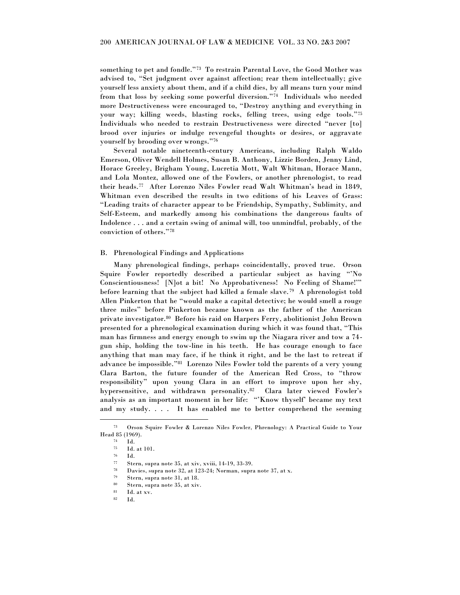something to pet and fondle."<sup>73</sup> To restrain Parental Love, the Good Mother was advised to, "Set judgment over against affection; rear them intellectually; give yourself less anxiety about them, and if a child dies, by all means turn your mind from that loss by seeking some powerful diversion."<sup>74</sup> Individuals who needed more Destructiveness were encouraged to, "Destroy anything and everything in your way; killing weeds, blasting rocks, felling trees, using edge tools."75 Individuals who needed to restrain Destructiveness were directed "never [to] brood over injuries or indulge revengeful thoughts or desires, or aggravate yourself by brooding over wrongs."<sup>76</sup>

Several notable nineteenth-century Americans, including Ralph Waldo Emerson, Oliver Wendell Holmes, Susan B. Anthony, Lizzie Borden, Jenny Lind, Horace Greeley, Brigham Young, Lucretia Mott, Walt Whitman, Horace Mann, and Lola Montez, allowed one of the Fowlers, or another phrenologist, to read their heads.<sup>77</sup> After Lorenzo Niles Fowler read Walt Whitman's head in 1849, Whitman even described the results in two editions of his Leaves of Grass: ―Leading traits of character appear to be Friendship, Sympathy, Sublimity, and Self-Esteem, and markedly among his combinations the dangerous faults of Indolence . . . and a certain swing of animal will, too unmindful, probably, of the conviction of others."78

#### B. Phrenological Findings and Applications

Many phrenological findings, perhaps coincidentally, proved true. Orson Squire Fowler reportedly described a particular subject as having "No Conscientiousness! [N]ot a bit! No Approbativeness! No Feeling of Shame!" before learning that the subject had killed a female slave. <sup>79</sup> A phrenologist told Allen Pinkerton that he "would make a capital detective; he would smell a rouge three miles" before Pinkerton became known as the father of the American private investigator.<sup>80</sup> Before his raid on Harpers Ferry, abolitionist John Brown presented for a phrenological examination during which it was found that, "This man has firmness and energy enough to swim up the Niagara river and tow a 74 gun ship, holding the tow-line in his teeth. He has courage enough to face anything that man may face, if he think it right, and be the last to retreat if advance be impossible."<sup>81</sup> Lorenzo Niles Fowler told the parents of a very young Clara Barton, the future founder of the American Red Cross, to "throw responsibility" upon young Clara in an effort to improve upon her shy, hypersensitive, and withdrawn personality.<sup>82</sup> Clara later viewed Fowler's analysis as an important moment in her life: "'Know thyself' became my text and my study. . . . It has enabled me to better comprehend the seeming

<sup>73</sup> Orson Squire Fowler & Lorenzo Niles Fowler, Phrenology: A Practical Guide to Your Head 85 (1969).

<sup>74</sup> Id. <sup>75</sup> Id. at 101.

 $\frac{76}{77}$  Id.

 $\frac{77}{72}$  Stern, supra note 35, at xiv, xviii, 14-19, 33-39.<br> $\frac{78}{78}$  Davise supra note 32, at 123-24; Norman supr

Davies, supra note 32, at 123-24; Norman, supra note 37, at x.

<sup>79</sup> Stern, supra note 31, at 18.

<sup>80</sup> Stern, supra note 35, at xiv.

 $81$  Id. at xv.

<sup>82</sup> Id.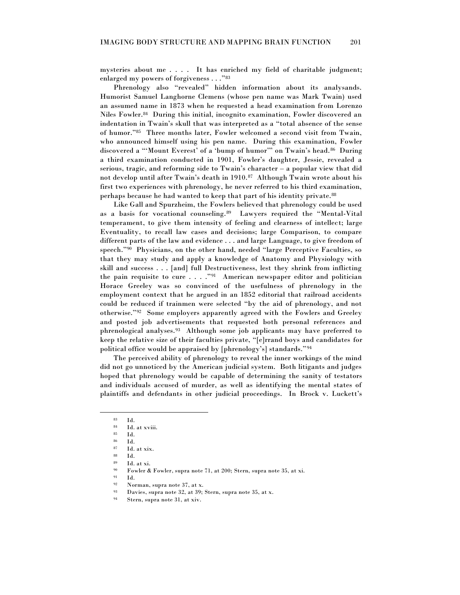mysteries about me . . . . It has enriched my field of charitable judgment; enlarged my powers of forgiveness  $\dots$  ."83

Phrenology also "revealed" hidden information about its analysands. Humorist Samuel Langhorne Clemens (whose pen name was Mark Twain) used an assumed name in 1873 when he requested a head examination from Lorenzo Niles Fowler.<sup>84</sup> During this initial, incognito examination, Fowler discovered an indentation in Twain's skull that was interpreted as a "total absence of the sense of humor."<sup>85</sup> Three months later, Fowler welcomed a second visit from Twain, who announced himself using his pen name. During this examination, Fowler discovered a "Mount Everest' of a 'bump of humor'" on Twain's head.<sup>86</sup> During a third examination conducted in 1901, Fowler's daughter, Jessie, revealed a serious, tragic, and reforming side to Twain's character – a popular view that did not develop until after Twain's death in 1910.<sup>87</sup> Although Twain wrote about his first two experiences with phrenology, he never referred to his third examination, perhaps because he had wanted to keep that part of his identity private.<sup>88</sup>

Like Gall and Spurzheim, the Fowlers believed that phrenology could be used as a basis for vocational counseling.<sup>89</sup> Lawyers required the "Mental-Vital temperament, to give them intensity of feeling and clearness of intellect; large Eventuality, to recall law cases and decisions; large Comparison, to compare different parts of the law and evidence . . . and large Language, to give freedom of speech."<sup>90</sup> Physicians, on the other hand, needed "large Perceptive Faculties, so that they may study and apply a knowledge of Anatomy and Physiology with skill and success . . . [and] full Destructiveness, lest they shrink from inflicting the pain requisite to cure  $\ldots$   $\cdot$   $\cdot$ <sup>91</sup> American newspaper editor and politician Horace Greeley was so convinced of the usefulness of phrenology in the employment context that he argued in an 1852 editorial that railroad accidents could be reduced if trainmen were selected "by the aid of phrenology, and not otherwise."<sup>92</sup> Some employers apparently agreed with the Fowlers and Greeley and posted job advertisements that requested both personal references and phrenological analyses.<sup>93</sup> Although some job applicants may have preferred to keep the relative size of their faculties private, "[e]rrand boys and candidates for political office would be appraised by [phrenology's] standards." $94$ 

The perceived ability of phrenology to reveal the inner workings of the mind did not go unnoticed by the American judicial system. Both litigants and judges hoped that phrenology would be capable of determining the sanity of testators and individuals accused of murder, as well as identifying the mental states of plaintiffs and defendants in other judicial proceedings. In Brock v. Luckett's

 $\begin{array}{c} 83 \ 84 \ \end{array}$  Id.

 $\begin{array}{c} 84 \ 85 \ 1 \end{array}$  Id. at xviii.

 $rac{85}{86}$  Id. <sup>86</sup> Id.

 $87$  Id. at xix.

<sup>88</sup> Id.

<sup>89</sup> Id. at xi.

Fowler & Fowler, supra note 71, at 200; Stern, supra note 35, at xi.

<sup>91</sup> Id.

<sup>92</sup> Norman, supra note 37, at x.

<sup>93</sup> Davies, supra note 32, at 39; Stern, supra note 35, at x.

<sup>94</sup> Stern, supra note 31, at xiv.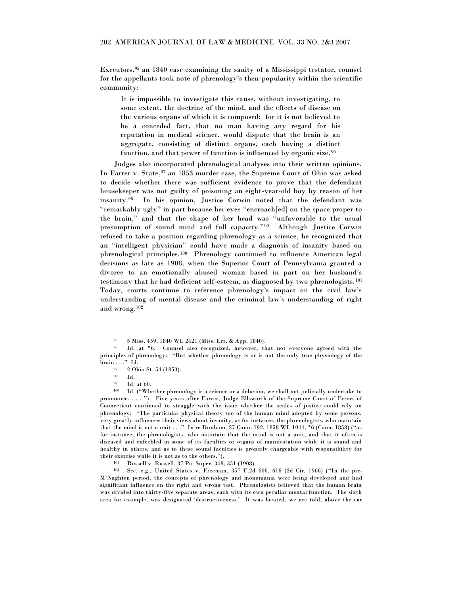Executors, <sup>95</sup> an 1840 case examining the sanity of a Mississippi testator, counsel for the appellants took note of phrenology's then-popularity within the scientific community:

It is impossible to investigate this cause, without investigating, to some extent, the doctrine of the mind, and the effects of disease on the various organs of which it is composed: for it is not believed to be a conceded fact, that no man having any regard for his reputation in medical science, would dispute that the brain is an aggregate, consisting of distinct organs, each having a distinct function, and that power of function is influenced by organic size. <sup>96</sup>

Judges also incorporated phrenological analyses into their written opinions. In Farrer v. State, <sup>97</sup> an 1853 murder case, the Supreme Court of Ohio was asked to decide whether there was sufficient evidence to prove that the defendant housekeeper was not guilty of poisoning an eight-year-old boy by reason of her insanity.<sup>98</sup> In his opinion, Justice Corwin noted that the defendant was "remarkably ugly" in part because her eyes "encroach[ed] on the space proper to the brain," and that the shape of her head was "unfavorable to the usual presumption of sound mind and full capacity."<sup>99</sup> Although Justice Corwin refused to take a position regarding phrenology as a science, he recognized that an "intelligent physician" could have made a diagnosis of insanity based on phrenological principles.<sup>100</sup> Phrenology continued to influence American legal decisions as late as 1908, when the Superior Court of Pennsylvania granted a divorce to an emotionally abused woman based in part on her husband's testimony that he had deficient self-esteem, as diagnosed by two phrenologists.<sup>101</sup> Today, courts continue to reference phrenology's impact on the civil law's understanding of mental disease and the criminal law's understanding of right and wrong.<sup>102</sup>

<sup>95</sup> 5 Miss. 459, 1840 WL 2421 (Miss. Err. & App. 1840).

<sup>96</sup> Id. at \*6. Counsel also recognized, however, that not everyone agreed with the principles of phrenology: "But whether phrenology is or is not the only true physiology of the brain . . ." Id.

<sup>97</sup> 2 Ohio St. 54 (1853).

<sup>98</sup>  $\frac{98}{99}$  Id.

Id. at 60.

<sup>100</sup> Id. ("Whether phrenology is a science or a delusion, we shall not judicially undertake to pronounce. . . . ‖). Five years after Farrer, Judge Ellsworth of the Supreme Court of Errors of Connecticut continued to struggle with the issue whether the scales of justice could rely on phrenology: "The particular physical theory too of the human mind adopted by some persons, very greatly influences their views about insanity; as for instance, the phrenologists, who maintain that the mind is not a unit . . . " In re Dunham, 27 Conn. 192, 1858 WL 1044, \*6 (Conn. 1858) ("as for instance, the phrenologists, who maintain that the mind is not a unit, and that it often is diseased and enfeebled in some of its faculties or organs of manifestation while it is sound and healthy in others, and as to these sound faculties is properly chargeable with responsibility for their exercise while it is not as to the others.").

<sup>101</sup> Russell v. Russell, 37 Pa. Super. 348, 351 (1908).

<sup>102</sup> See, e.g., United States v. Freeman, 357 F.2d 606, 616 (2d Cir. 1966) ("In the pre-M'Naghten period, the concepts of phrenology and monomania were being developed and had significant influence on the right and wrong test. Phrenologists believed that the human brain was divided into thirty-five separate areas, each with its own peculiar mental function. The sixth area for example, was designated 'destructiveness.' It was located, we are told, above the ear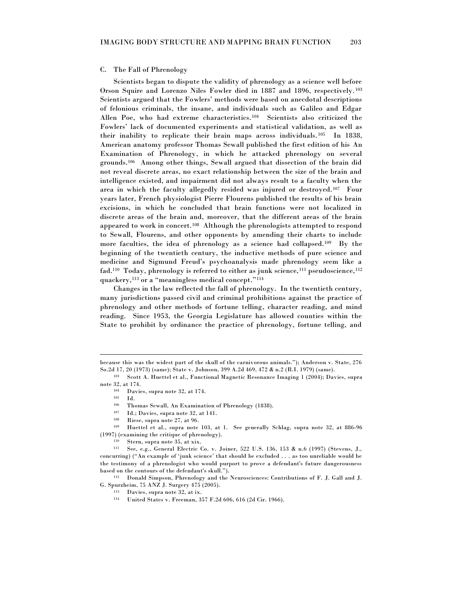#### C. The Fall of Phrenology

Scientists began to dispute the validity of phrenology as a science well before Orson Squire and Lorenzo Niles Fowler died in 1887 and 1896, respectively.<sup>103</sup> Scientists argued that the Fowlers' methods were based on anecdotal descriptions of felonious criminals, the insane, and individuals such as Galileo and Edgar Allen Poe, who had extreme characteristics.<sup>104</sup> Scientists also criticized the Fowlers' lack of documented experiments and statistical validation, as well as their inability to replicate their brain maps across individuals. <sup>105</sup> In 1838, American anatomy professor Thomas Sewall published the first edition of his An Examination of Phrenology, in which he attacked phrenology on several grounds.<sup>106</sup> Among other things, Sewall argued that dissection of the brain did not reveal discrete areas, no exact relationship between the size of the brain and intelligence existed, and impairment did not always result to a faculty when the area in which the faculty allegedly resided was injured or destroyed.<sup>107</sup> Four years later, French physiologist Pierre Flourens published the results of his brain excisions, in which he concluded that brain functions were not localized in discrete areas of the brain and, moreover, that the different areas of the brain appeared to work in concert.<sup>108</sup> Although the phrenologists attempted to respond to Sewall, Flourens, and other opponents by amending their charts to include more faculties, the idea of phrenology as a science had collapsed.<sup>109</sup> By the beginning of the twentieth century, the inductive methods of pure science and medicine and Sigmund Freud's psychoanalysis made phrenology seem like a fad.<sup>110</sup> Today, phrenology is referred to either as junk science,<sup>111</sup> pseudoscience,<sup>112</sup> quackery,<sup>113</sup> or a "meaningless medical concept."<sup>114</sup>

Changes in the law reflected the fall of phrenology. In the twentieth century, many jurisdictions passed civil and criminal prohibitions against the practice of phrenology and other methods of fortune telling, character reading, and mind reading. Since 1953, the Georgia Legislature has allowed counties within the State to prohibit by ordinance the practice of phrenology, fortune telling, and

 $\overline{a}$ 

Thomas Sewall, An Examination of Phrenology (1838).

- <sup>107</sup> Id.; Davies, supra note 32, at 141.
- <sup>108</sup> Riese, supra note 27, at 96.

because this was the widest part of the skull of the carnivorous animals.‖); Anderson v. State, 276 So.2d 17, 20 (1973) (same); State v. Johnson, 399 A.2d 469, 472 & n.2 (R.I. 1979) (same).

<sup>103</sup> Scott A. Huettel et al., Functional Magnetic Resonance Imaging 1 (2004); Davies, supra note 32, at 174.

<sup>104</sup> Davies, supra note 32, at 174.

 $105$  Id.<br>106 Th.

<sup>109</sup> Huettel et al., supra note 103, at 1. See generally Schlag, supra note 32, at 886-96 (1997) (examining the critique of phrenology).

<sup>110</sup> Stern, supra note 35, at xix.

<sup>111</sup> See, e.g., General Electric Co. v. Joiner, 522 U.S. 136, 153 & n.6 (1997) (Stevens, J., concurring) ("An example of 'junk science' that should be excluded . . . as too unreliable would be the testimony of a phrenologist who would purport to prove a defendant's future dangerousness based on the contours of the defendant's skull.").

<sup>112</sup> Donald Simpson, Phrenology and the Neurosciences: Contributions of F. J. Gall and J. G. Spurzheim, 75 ANZ J. Surgery 475 (2005).

<sup>113</sup> Davies, supra note 32, at ix.

<sup>114</sup> United States v. Freeman, 357 F.2d 606, 616 (2d Cir. 1966).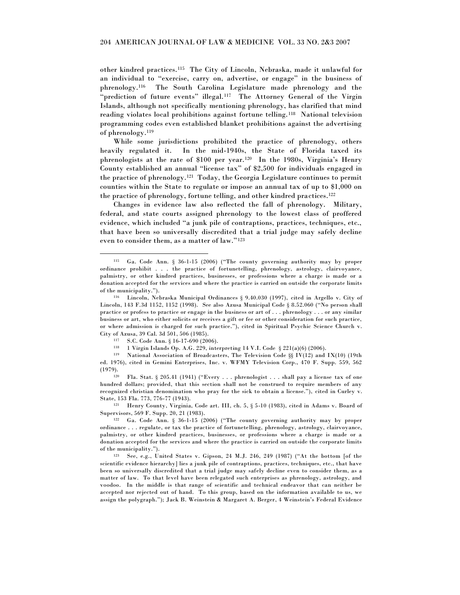other kindred practices.<sup>115</sup> The City of Lincoln, Nebraska, made it unlawful for an individual to "exercise, carry on, advertise, or engage" in the business of phrenology.<sup>116</sup> The South Carolina Legislature made phrenology and the "prediction of future events" illegal.<sup>117</sup> The Attorney General of the Virgin Islands, although not specifically mentioning phrenology, has clarified that mind reading violates local prohibitions against fortune telling.<sup>118</sup> National television programming codes even established blanket prohibitions against the advertising of phrenology.<sup>119</sup>

While some jurisdictions prohibited the practice of phrenology, others heavily regulated it. In the mid-1940s, the State of Florida taxed its phrenologists at the rate of \$100 per year.<sup>120</sup> In the 1980s, Virginia's Henry County established an annual "license tax" of \$2,500 for individuals engaged in the practice of phrenology.<sup>121</sup> Today, the Georgia Legislature continues to permit counties within the State to regulate or impose an annual tax of up to \$1,000 on the practice of phrenology, fortune telling, and other kindred practices.<sup>122</sup>

Changes in evidence law also reflected the fall of phrenology. Military, federal, and state courts assigned phrenology to the lowest class of proffered evidence, which included "a junk pile of contraptions, practices, techniques, etc., that have been so universally discredited that a trial judge may safely decline even to consider them, as a matter of law."<sup>123</sup>

 $\overline{a}$ 

<sup>121</sup> Henry County, Virginia, Code art. III, ch. 5, § 5-10 (1983), cited in Adams v. Board of Supervisors, 569 F. Supp. 20, 21 (1983).

 $115$  Ga. Code Ann. § 36-1-15 (2006) ("The county governing authority may by proper ordinance prohibit . . . the practice of fortunetelling, phrenology, astrology, clairvoyance, palmistry, or other kindred practices, businesses, or professions where a charge is made or a donation accepted for the services and where the practice is carried on outside the corporate limits of the municipality.").

<sup>116</sup> Lincoln, Nebraska Municipal Ordinances § 9.40.030 (1997), cited in Argello v. City of Lincoln, 143 F.3d 1152, 1152 (1998). See also Azusa Municipal Code  $\S 8.52.060$  ("No person shall practice or profess to practice or engage in the business or art of . . . phrenology . . . or any similar business or art, who either solicits or receives a gift or fee or other consideration for such practice, or where admission is charged for such practice.‖), cited in Spiritual Psychic Science Church v. City of Azusa, 39 Cal. 3d 501, 506 (1985).

<sup>&</sup>lt;sup>117</sup> S.C. Code Ann. § 16-17-690 (2006).<br><sup>118</sup> 1 Virgin Islands Op.  $\Lambda$  G. 229, inte

<sup>1</sup> Virgin Islands Op. A.G. 229, interpreting 14 V.I. Code § 221(a)(6) (2006).

<sup>119</sup> National Association of Broadcasters, The Television Code §§ IV(12) and IX(10) (19th ed. 1976), cited in Gemini Enterprises, Inc. v. WFMY Television Corp., 470 F. Supp. 559, 562 (1979).

 $120$  Fla. Stat. § 205.41 (1941) ("Every ... phrenologist ... shall pay a license tax of one hundred dollars; provided, that this section shall not be construed to require members of any recognized christian denomination who pray for the sick to obtain a license."), cited in Curley v. State, 153 Fla. 773, 776-77 (1943).

 $122$  Ga. Code Ann. § 36-1-15 (2006) ("The county governing authority may by proper ordinance . . . regulate, or tax the practice of fortunetelling, phrenology, astrology, clairvoyance, palmistry, or other kindred practices, businesses, or professions where a charge is made or a donation accepted for the services and where the practice is carried on outside the corporate limits of the municipality.").

 $123$  See, e.g., United States v. Gipson, 24 M.J. 246, 249 (1987) ("At the bottom [of the scientific evidence hierarchy] lies a junk pile of contraptions, practices, techniques, etc., that have been so universally discredited that a trial judge may safely decline even to consider them, as a matter of law. To that level have been relegated such enterprises as phrenology, astrology, and voodoo. In the middle is that range of scientific and technical endeavor that can neither be accepted nor rejected out of hand. To this group, based on the information available to us, we assign the polygraph.‖); Jack B. Weinstein & Margaret A. Berger, 4 Weinstein's Federal Evidence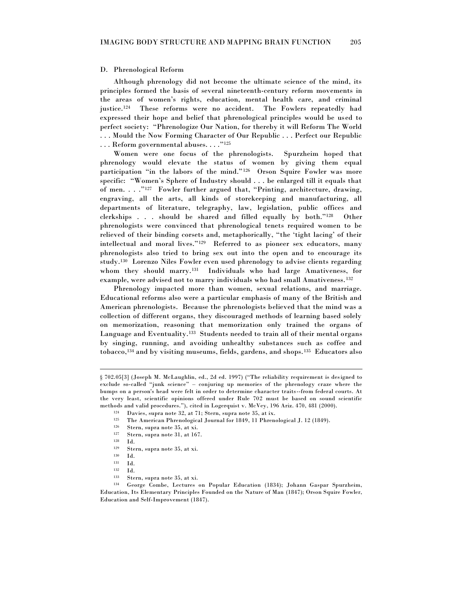#### D. Phrenological Reform

Although phrenology did not become the ultimate science of the mind, its principles formed the basis of several nineteenth-century reform movements in the areas of women's rights, education, mental health care, and criminal justice.<sup>124</sup> These reforms were no accident. The Fowlers repeatedly had expressed their hope and belief that phrenological principles would be used to perfect society: "Phrenologize Our Nation, for thereby it will Reform The World . . . Mould the Now Forming Character of Our Republic . . . Perfect our Republic

 $\ldots$  . Reform governmental abuses.  $\ldots$ ."125

Women were one focus of the phrenologists. Spurzheim hoped that phrenology would elevate the status of women by giving them equal participation "in the labors of the mind."<sup>126</sup> Orson Squire Fowler was more specific: "Women's Sphere of Industry should . . . be enlarged till it equals that of men. . . ."<sup>127</sup> Fowler further argued that, "Printing, architecture, drawing, engraving, all the arts, all kinds of storekeeping and manufacturing, all departments of literature, telegraphy, law, legislation, public offices and clerkships . . . should be shared and filled equally by both."<sup>128</sup> Other phrenologists were convinced that phrenological tenets required women to be relieved of their binding corsets and, metaphorically, "the 'tight lacing' of their intellectual and moral lives."<sup>129</sup> Referred to as pioneer sex educators, many phrenologists also tried to bring sex out into the open and to encourage its study.<sup>130</sup> Lorenzo Niles Fowler even used phrenology to advise clients regarding whom they should marry.<sup>131</sup> Individuals who had large Amativeness, for example, were advised not to marry individuals who had small Amativeness.<sup>132</sup>

Phrenology impacted more than women, sexual relations, and marriage. Educational reforms also were a particular emphasis of many of the British and American phrenologists. Because the phrenologists believed that the mind was a collection of different organs, they discouraged methods of learning based solely on memorization, reasoning that memorization only trained the organs of Language and Eventuality.<sup>133</sup> Students needed to train all of their mental organs by singing, running, and avoiding unhealthy substances such as coffee and tobacco,<sup>134</sup> and by visiting museums, fields, gardens, and shops.<sup>135</sup> Educators also

<sup>§ 702.05[3] (</sup>Joseph M. McLaughlin, ed., 2d ed. 1997) ("The reliability requirement is designed to exclude so-called "junk science" – conjuring up memories of the phrenology craze where the bumps on a person's head were felt in order to determine character traits--from federal courts. At the very least, scientific opinions offered under Rule 702 must be based on sound scientific methods and valid procedures."), cited in Logerquist v. McVey, 196 Ariz. 470, 481 (2000).

Davies, supra note 32, at 71; Stern, supra note 35, at ix.

<sup>&</sup>lt;sup>125</sup> The American Phrenological Journal for 1849, 11 Phrenological J. 12 (1849).<br><sup>126</sup> Stern supra note 35 at vi

Stern, supra note 35, at xi.

<sup>127</sup> Stern, supra note 31, at 167.

<sup>128</sup> Id.

<sup>129</sup> Stern, supra note 35, at xi.

 $130$  Id.<br> $131$  Id.

 $131$  Id.<br> $132$  Id.

<sup>132</sup> Id.

<sup>133</sup> Stern, supra note 35, at xi.

<sup>134</sup> George Combe, Lectures on Popular Education (1834); Johann Gaspar Spurzheim, Education, Its Elementary Principles Founded on the Nature of Man (1847); Orson Squire Fowler, Education and Self-Improvement (1847).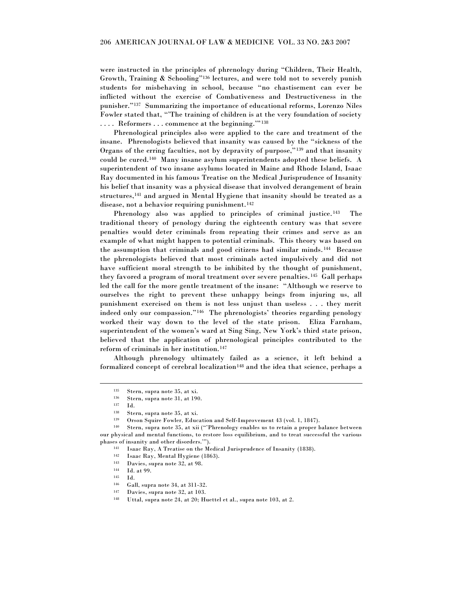were instructed in the principles of phrenology during "Children, Their Health, Growth, Training & Schooling"<sup>136</sup> lectures, and were told not to severely punish students for misbehaving in school, because "no chastisement can ever be inflicted without the exercise of Combativeness and Destructiveness in the punisher."<sup>137</sup> Summarizing the importance of educational reforms, Lorenzo Niles Fowler stated that, "'The training of children is at the very foundation of society .... Reformers ... commence at the beginning.""<sup>138</sup>

Phrenological principles also were applied to the care and treatment of the insane. Phrenologists believed that insanity was caused by the "sickness of the Organs of the erring faculties, not by depravity of purpose," $139$  and that insanity could be cured.<sup>140</sup> Many insane asylum superintendents adopted these beliefs. A superintendent of two insane asylums located in Maine and Rhode Island, Isaac Ray documented in his famous Treatise on the Medical Jurisprudence of Insanity his belief that insanity was a physical disease that involved derangement of brain structures,<sup>141</sup> and argued in Mental Hygiene that insanity should be treated as a disease, not a behavior requiring punishment.<sup>142</sup>

Phrenology also was applied to principles of criminal justice.<sup>143</sup> The traditional theory of penology during the eighteenth century was that severe penalties would deter criminals from repeating their crimes and serve as an example of what might happen to potential criminals. This theory was based on the assumption that criminals and good citizens had similar minds.<sup>144</sup> Because the phrenologists believed that most criminals acted impulsively and did not have sufficient moral strength to be inhibited by the thought of punishment, they favored a program of moral treatment over severe penalties. <sup>145</sup> Gall perhaps led the call for the more gentle treatment of the insane: "Although we reserve to ourselves the right to prevent these unhappy beings from injuring us, all punishment exercised on them is not less unjust than useless . . . they merit indeed only our compassion."<sup>146</sup> The phrenologists' theories regarding penology worked their way down to the level of the state prison. Eliza Farnham, superintendent of the women's ward at Sing Sing, New York's third state prison, believed that the application of phrenological principles contributed to the reform of criminals in her institution.<sup>147</sup>

Although phrenology ultimately failed as a science, it left behind a formalized concept of cerebral localization<sup>148</sup> and the idea that science, perhaps a

<sup>135</sup> Stern, supra note 35, at xi.

 $136$  Stern, supra note 31, at 190.

Id.

<sup>138</sup> Stern, supra note 35, at xi.

<sup>&</sup>lt;sup>139</sup> Orson Squire Fowler, Education and Self-Improvement 43 (vol. 1, 1847).

Stern, supra note 35, at xii ("Phrenology enables us to retain a proper balance between our physical and mental functions, to restore loss equilibrium, and to treat successful the various phases of insanity and other disorders."").

<sup>141</sup> Isaac Ray, A Treatise on the Medical Jurisprudence of Insanity (1838).

<sup>&</sup>lt;sup>142</sup> Isaac Ray, Mental Hygiene (1863).<br><sup>143</sup> Davies suppr note  $32$ , at  $08$ .

 $143$  Davies, supra note 32, at 98.

Id. at 99.

<sup>145</sup> Id.

<sup>146</sup> Gall, supra note 34, at 311-32.

<sup>147</sup> Davies, supra note 32, at 103.

<sup>148</sup> Uttal, supra note 24, at 20; Huettel et al., supra note 103, at 2.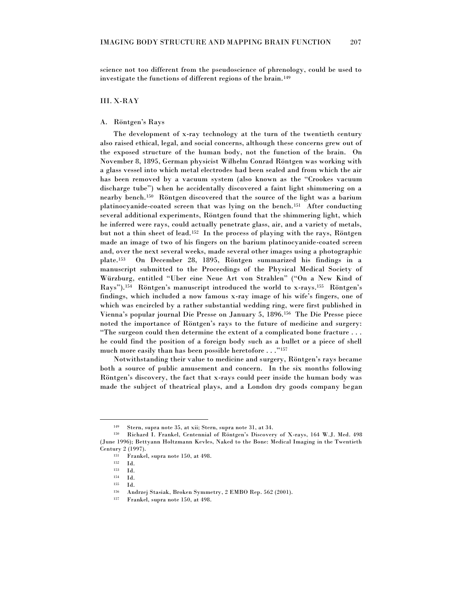science not too different from the pseudoscience of phrenology, could be used to investigate the functions of different regions of the brain.<sup>149</sup>

#### III. X-RAY

#### A. Röntgen's Rays

The development of x-ray technology at the turn of the twentieth century also raised ethical, legal, and social concerns, although these concerns grew out of the exposed structure of the human body, not the function of the brain. On November 8, 1895, German physicist Wilhelm Conrad Röntgen was working with a glass vessel into which metal electrodes had been sealed and from which the air has been removed by a vacuum system (also known as the "Crookes vacuum discharge tube") when he accidentally discovered a faint light shimmering on a nearby bench.<sup>150</sup> Röntgen discovered that the source of the light was a barium platinocyanide-coated screen that was lying on the bench.<sup>151</sup> After conducting several additional experiments, Röntgen found that the shimmering light, which he inferred were rays, could actually penetrate glass, air, and a variety of metals, but not a thin sheet of lead.<sup>152</sup> In the process of playing with the rays, Röntgen made an image of two of his fingers on the barium platinocyanide-coated screen and, over the next several weeks, made several other images using a photographic plate.<sup>153</sup> On December 28, 1895, Röntgen summarized his findings in a manuscript submitted to the Proceedings of the Physical Medical Society of Würzburg, entitled "Uber eine Neue Art von Strahlen" ("On a New Kind of Rays").<sup>154</sup> Röntgen's manuscript introduced the world to x-rays.<sup>155</sup> Röntgen's findings, which included a now famous x-ray image of his wife's fingers, one of which was encircled by a rather substantial wedding ring, were first published in Vienna's popular journal Die Presse on January 5, 1896.<sup>156</sup> The Die Presse piece noted the importance of Röntgen's rays to the future of medicine and surgery: "The surgeon could then determine the extent of a complicated bone fracture . . . he could find the position of a foreign body such as a bullet or a piece of shell much more easily than has been possible heretofore  $\dots$ ."<sup>157</sup>

Notwithstanding their value to medicine and surgery, Röntgen's rays became both a source of public amusement and concern. In the six months following Röntgen's discovery, the fact that x-rays could peer inside the human body was made the subject of theatrical plays, and a London dry goods company began

Stern, supra note 35, at xii; Stern, supra note 31, at 34.

<sup>150</sup> Richard I. Frankel, Centennial of Röntgen's Discovery of X-rays, 164 W.J. Med. 498 (June 1996); Bettyann Holtzmann Kevles, Naked to the Bone: Medical Imaging in the Twentieth Century 2 (1997).

 $\frac{151}{152}$  Frankel, supra note 150, at 498.

 $152 \text{ Id.}$ <br>153 Id.

<sup>153</sup> Id.

<sup>154</sup> Id.

<sup>155</sup> Id.

<sup>156</sup> Andrzej Stasiak, Broken Symmetry, 2 EMBO Rep. 562 (2001).

<sup>157</sup> Frankel, supra note 150, at 498.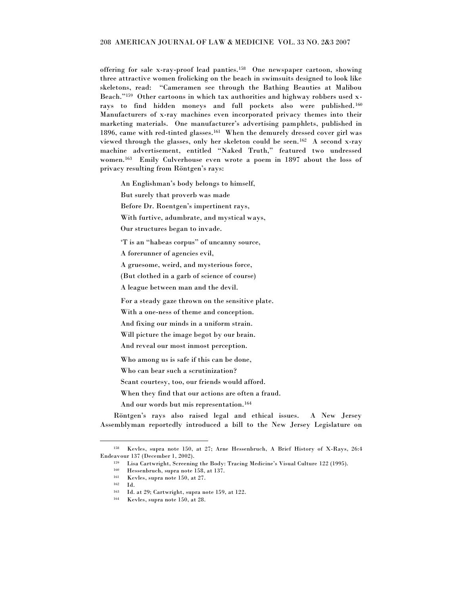offering for sale x-ray-proof lead panties.<sup>158</sup> One newspaper cartoon, showing three attractive women frolicking on the beach in swimsuits designed to look like skeletons, read: "Cameramen see through the Bathing Beauties at Malibou Beach."<sup>159</sup> Other cartoons in which tax authorities and highway robbers used xrays to find hidden moneys and full pockets also were published. <sup>160</sup> Manufacturers of x-ray machines even incorporated privacy themes into their marketing materials. One manufacturer's advertising pamphlets, published in 1896, came with red-tinted glasses.<sup>161</sup> When the demurely dressed cover girl was viewed through the glasses, only her skeleton could be seen.<sup>162</sup> A second x-ray machine advertisement, entitled "Naked Truth," featured two undressed women.<sup>163</sup> Emily Culverhouse even wrote a poem in 1897 about the loss of privacy resulting from Röntgen's rays:

An Englishman's body belongs to himself,

But surely that proverb was made

Before Dr. Roentgen's impertinent rays,

With furtive, adumbrate, and mystical ways,

Our structures began to invade.

"T is an "habeas corpus" of uncanny source,

A forerunner of agencies evil,

A gruesome, weird, and mysterious force,

(But clothed in a garb of science of course)

A league between man and the devil.

For a steady gaze thrown on the sensitive plate.

With a one-ness of theme and conception.

And fixing our minds in a uniform strain.

Will picture the image begot by our brain.

And reveal our most inmost perception.

Who among us is safe if this can be done,

Who can bear such a scrutinization?

Scant courtesy, too, our friends would afford.

When they find that our actions are often a fraud.

And our words but mis representation.<sup>164</sup>

Röntgen's rays also raised legal and ethical issues. A New Jersey Assemblyman reportedly introduced a bill to the New Jersey Legislature on

<sup>158</sup> Kevles, supra note 150, at 27; Arne Hessenbruch, A Brief History of X-Rays, 26:4 Endeavour 137 (December 1, 2002).

<sup>159</sup> Lisa Cartwright, Screening the Body: Tracing Medicine's Visual Culture 122 (1995).

<sup>160</sup> Hessenbruch, supra note 158, at 137.

<sup>161</sup> Kevles, supra note 150, at 27.

<sup>162</sup> Id.

<sup>163</sup> Id. at 29; Cartwright, supra note 159, at 122.

<sup>164</sup> Kevles, supra note 150, at 28.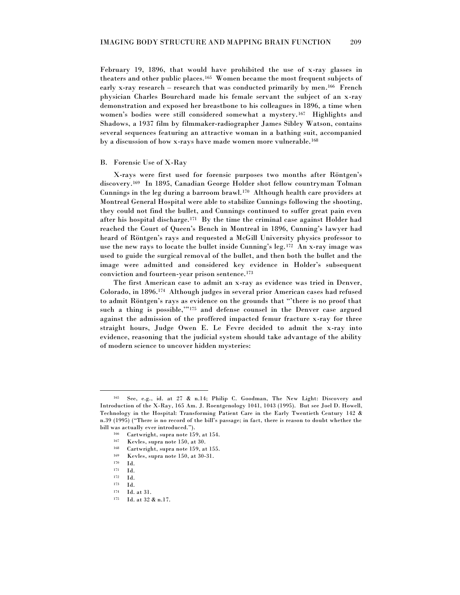February 19, 1896, that would have prohibited the use of x-ray glasses in theaters and other public places.<sup>165</sup> Women became the most frequent subjects of early x-ray research – research that was conducted primarily by men.<sup>166</sup> French physician Charles Bourchard made his female servant the subject of an x-ray demonstration and exposed her breastbone to his colleagues in 1896, a time when women's bodies were still considered somewhat a mystery.<sup>167</sup> Highlights and Shadows, a 1937 film by filmmaker-radiographer James Sibley Watson, contains several sequences featuring an attractive woman in a bathing suit, accompanied by a discussion of how x-rays have made women more vulnerable.<sup>168</sup>

#### B. Forensic Use of X-Ray

X-rays were first used for forensic purposes two months after Röntgen's discovery.<sup>169</sup> In 1895, Canadian George Holder shot fellow countryman Tolman Cunnings in the leg during a barroom brawl.<sup>170</sup> Although health care providers at Montreal General Hospital were able to stabilize Cunnings following the shooting, they could not find the bullet, and Cunnings continued to suffer great pain even after his hospital discharge.<sup>171</sup> By the time the criminal case against Holder had reached the Court of Queen's Bench in Montreal in 1896, Cunning's lawyer had heard of Röntgen's rays and requested a McGill University physics professor to use the new rays to locate the bullet inside Cunning's leg.<sup>172</sup> An x-ray image was used to guide the surgical removal of the bullet, and then both the bullet and the image were admitted and considered key evidence in Holder's subsequent conviction and fourteen-year prison sentence.<sup>173</sup>

The first American case to admit an x-ray as evidence was tried in Denver, Colorado, in 1896.<sup>174</sup> Although judges in several prior American cases had refused to admit Röntgen's rays as evidence on the grounds that "there is no proof that such a thing is possible,""175 and defense counsel in the Denver case argued against the admission of the proffered impacted femur fracture x-ray for three straight hours, Judge Owen E. Le Fevre decided to admit the x-ray into evidence, reasoning that the judicial system should take advantage of the ability of modern science to uncover hidden mysteries:

<sup>165</sup> See, e.g., id. at 27 & n.14; Philip C. Goodman, The New Light: Discovery and Introduction of the X-Ray, 165 Am. J. Roentgenology 1041, 1043 (1995). But see Joel D. Howell, Technology in the Hospital: Transforming Patient Care in the Early Twentieth Century 142 & n.39 (1995) ("There is no record of the bill's passage; in fact, there is reason to doubt whether the bill was actually ever introduced.").

 $\frac{166}{167}$  Cartwright, supra note 159, at 154.

Kevles, supra note 150, at 30.

<sup>168</sup> Cartwright, supra note 159, at 155.

 $169$  Kevles, supra note 150, at 30-31.

 $170$  Id.<br> $171$  Id.

<sup>171</sup> Id.

<sup>172</sup> Id.

<sup>173</sup> Id.

<sup>174</sup> Id. at 31.

<sup>175</sup> Id. at 32 & n.17.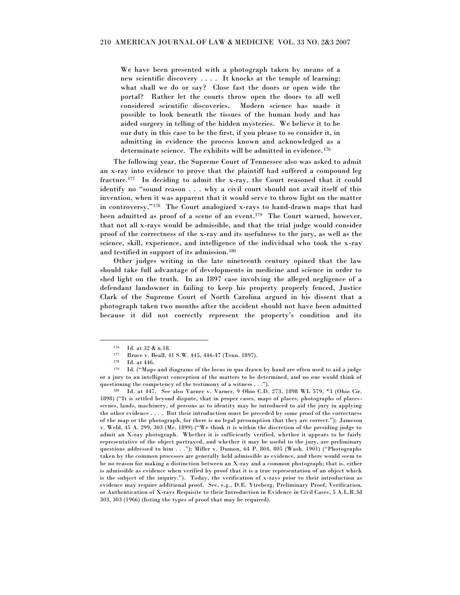We have been presented with a photograph taken by means of a new scientific discovery . . . . It knocks at the temple of learning; what shall we do or say? Close fast the doors or open wide the portal? Rather let the courts throw open the doors to all well considered scientific discoveries. Modern science has made it possible to look beneath the tissues of the human body and has aided surgery in telling of the hidden mysteries. We believe it to be our duty in this case to be the first, if you please to so consider it, in admitting in evidence the process known and acknowledged as a determinate science. The exhibits will be admitted in evidence. <sup>176</sup>

The following year, the Supreme Court of Tennessee also was asked to admit an x-ray into evidence to prove that the plaintiff had suffered a compound leg fracture.<sup>177</sup> In deciding to admit the x-ray, the Court reasoned that it could identify no "sound reason . . . why a civil court should not avail itself of this invention, when it was apparent that it would serve to throw light on the matter in controversy."<sup>178</sup> The Court analogized x-rays to hand-drawn maps that had been admitted as proof of a scene of an event.<sup>179</sup> The Court warned, however, that not all x-rays would be admissible, and that the trial judge would consider proof of the correctness of the x-ray and its usefulness to the jury, as well as the science, skill, experience, and intelligence of the individual who took the x-ray and testified in support of its admission.<sup>180</sup>

Other judges writing in the late nineteenth century opined that the law should take full advantage of developments in medicine and science in order to shed light on the truth. In an 1897 case involving the alleged negligence of a defendant landowner in failing to keep his property properly fenced, Justice Clark of the Supreme Court of North Carolina argued in his dissent that a photograph taken two months after the accident should not have been admitted because it did not correctly represent the property's condition and its

 $^{176}$  Id. at 32 & n.18.

Bruce v. Beall, 41 S.W. 445, 446-47 (Tenn. 1897).

<sup>178</sup> Id. at 446.

<sup>179</sup> Id. ("Maps and diagrams of the locus in quo drawn by hand are often used to aid a judge or a jury to an intelligent conception of the matters to be determined, and no one would think of questioning the competency of the testimony of a witness . . .").

<sup>180</sup> Id. at 447. See also Varner v. Varner, 9 Ohio C.D. 273, 1898 WL 579, \*3 (Ohio Cir. 1898) ("It is settled beyond dispute, that in proper cases, maps of places, photographs of placesscenes, lands, machinery, of persons as to identity may be introduced to aid the jury in applying the other evidence .... But their introduction must be preceded by some proof of the correctness of the map or the photograph, for there is no legal presumption that they are correct.‖); Jameson v. Weld, 45 A. 299, 303 (Me. 1899) ("We think it is within the discretion of the presiding judge to admit an X-ray photograph. Whether it is sufficiently verified, whether it appears to be fairly representative of the object portrayed, and whether it may be useful to the jury, are preliminary questions addressed to him . . ."); Miller v. Dumon, 64 P. 804, 805 (Wash. 1901) ("Photographs taken by the common processes are generally held admissible as evidence, and there would seem to be no reason for making a distinction between an X-ray and a common photograph; that is, either is admissible as evidence when verified by proof that it is a true representation of an object which is the subject of the inquiry."). Today, the verification of x-rays prior to their introduction as evidence may require additional proof. See, e.g., D.E. Ytreberg, Preliminary Proof, Verification, or Authentication of X-rays Requisite to their Introduction in Evidence in Civil Cases, 5 A.L.R.3d 303, 303 (1966) (listing the types of proof that may be required).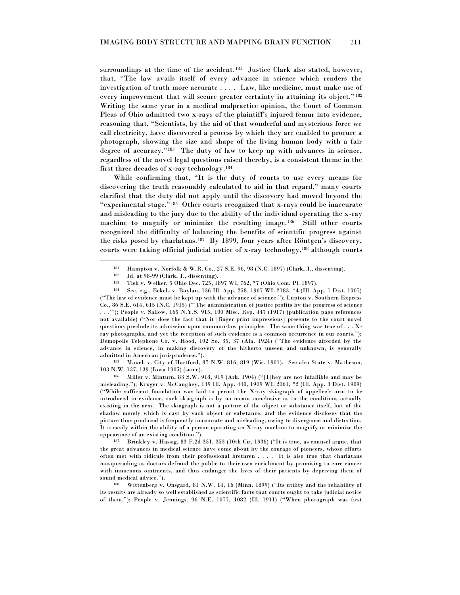surroundings at the time of the accident.<sup>181</sup> Justice Clark also stated, however, that, "The law avails itself of every advance in science which renders the investigation of truth more accurate . . . . Law, like medicine, must make use of every improvement that will secure greater certainty in attaining its object."<sup>182</sup> Writing the same year in a medical malpractice opinion, the Court of Common Pleas of Ohio admitted two x-rays of the plaintiff's injured femur into evidence, reasoning that, "Scientists, by the aid of that wonderful and mysterious force we call electricity, have discovered a process by which they are enabled to procure a photograph, showing the size and shape of the living human body with a fair degree of accuracy."<sup>183</sup> The duty of law to keep up with advances in science, regardless of the novel legal questions raised thereby, is a consistent theme in the first three decades of x-ray technology.<sup>184</sup>

While confirming that, "It is the duty of courts to use every means for discovering the truth reasonably calculated to aid in that regard," many courts clarified that the duty did not apply until the discovery had moved beyond the "experimental stage."<sup>185</sup> Other courts recognized that x-rays could be inaccurate and misleading to the jury due to the ability of the individual operating the x-ray machine to magnify or minimize the resulting image.<sup>186</sup> Still other courts recognized the difficulty of balancing the benefits of scientific progress against the risks posed by charlatans.<sup>187</sup> By 1899, four years after Röntgen's discovery, courts were taking official judicial notice of x-ray technology,<sup>188</sup> although courts

 $\overline{a}$ 

<sup>185</sup> Mauch v. City of Hartford, 87 N.W. 816, 819 (Wis. 1901). See also State v. Matheson, 103 N.W. 137, 139 (Iowa 1905) (same).

 $186$  Miller v. Minturn, 83 S.W. 918, 919 (Ark. 1904) ("They are not infallible and may be misleading.‖); Kruger v. McCaughey, 149 Ill. App. 440, 1909 WL 2061, \*2 (Ill. App. 3 Dist. 1909) (―While sufficient foundation was laid to permit the X-ray skiagraph of appellee's arm to be introduced in evidence, such skiagraph is by no means conclusive as to the conditions actually existing in the arm. The skiagraph is not a picture of the object or substance itself, but of the shadow merely which is cast by such object or substance, and the evidence discloses that the picture thus produced is frequently inaccurate and misleading, owing to divergence and distortion. It is easily within the ability of a person operating an X-ray machine to magnify or minimize the appearance of an existing condition.").

 $187$  Brinkley v. Hassig, 83 F.2d 351, 353 (10th Cir. 1936) ("It is true, as counsel argue, that the great advances in medical science have come about by the courage of pioneers, whose efforts often met with ridicule from their professional brethren . . . . It is also true that charlatans masquerading as doctors defraud the public to their own enrichment by promising to cure cancer with innocuous ointments, and thus endanger the lives of their patients by depriving them of sound medical advice.").

188 Wittenberg v. Onsgard, 81 N.W. 14, 16 (Minn. 1899) ("Its utility and the reliability of its results are already so well established as scientific facts that courts ought to take judicial notice of them."); People v. Jennings, 96 N.E. 1077, 1082 (Ill. 1911) ("When photograph was first

<sup>181</sup> Hampton v. Norfolk & W.R. Co., 27 S.E. 96, 98 (N.C. 1897) (Clark, J., dissenting).

<sup>&</sup>lt;sup>182</sup> Id. at 98-99 (Clark, J., dissenting).<br><sup>183</sup> Tigh v. Weller, 5 Obje Dec.  $735, 11$ 

Tish v. Welker, 5 Ohio Dec. 725, 1897 WL 762, \*7 (Ohio Com. Pl. 1897).

<sup>184</sup> See, e.g., Eckels v. Boylan, 136 Ill. App. 258, 1907 WL 2183, \*4 (Ill. App. 1 Dist. 1907) (―The law of evidence must be kept up with the advance of science.‖); Lupton v. Southern Express Co., 86 S.E. 614, 615 (N.C. 1915) ("The administration of justice profits by the progress of science . . .'‖); People v. Sallow, 165 N.Y.S. 915, 100 Misc. Rep. 447 (1917) (publication page references not available) ("Nor does the fact that it [finger print impressions] presents to the court novel questions preclude its admission upon common-law principles. The same thing was true of . . . Xray photographs, and yet the reception of such evidence is a common occurrence in our courts."); Demopolis Telephone Co. v. Hood, 102 So. 35, 37 (Ala. 1924) ("The evidence afforded by the advance in science, in making discovery of the hitherto unseen and unknown, is generally admitted in American jurisprudence.").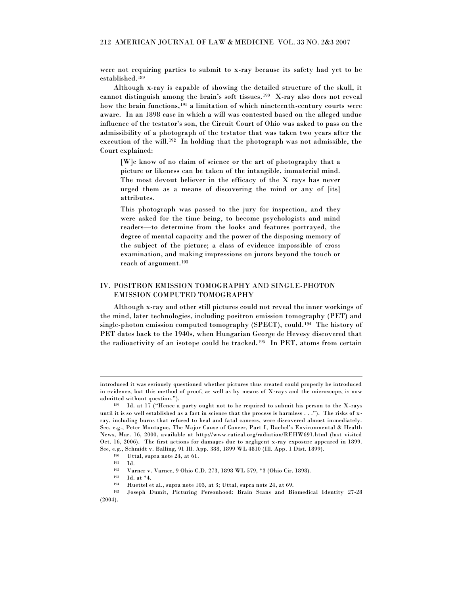were not requiring parties to submit to x-ray because its safety had yet to be established.<sup>189</sup>

Although x-ray is capable of showing the detailed structure of the skull, it cannot distinguish among the brain's soft tissues.<sup>190</sup> X-ray also does not reveal how the brain functions,<sup>191</sup> a limitation of which nineteenth-century courts were aware. In an 1898 case in which a will was contested based on the alleged undue influence of the testator's son, the Circuit Court of Ohio was asked to pass on the admissibility of a photograph of the testator that was taken two years after the execution of the will.<sup>192</sup> In holding that the photograph was not admissible, the Court explained:

[W]e know of no claim of science or the art of photography that a picture or likeness can be taken of the intangible, immaterial mind. The most devout believer in the efficacy of the X rays has never urged them as a means of discovering the mind or any of [its] attributes.

This photograph was passed to the jury for inspection, and they were asked for the time being, to become psychologists and mind readers—to determine from the looks and features portrayed, the degree of mental capacity and the power of the disposing memory of the subject of the picture; a class of evidence impossible of cross examination, and making impressions on jurors beyond the touch or reach of argument.<sup>193</sup>

### IV. POSITRON EMISSION TOMOGRAPHY AND SINGLE-PHOTON EMISSION COMPUTED TOMOGRAPHY

Although x-ray and other still pictures could not reveal the inner workings of the mind, later technologies, including positron emission tomography (PET) and single-photon emission computed tomography (SPECT), could.<sup>194</sup> The history of PET dates back to the 1940s, when Hungarian George de Hevesy discovered that the radioactivity of an isotope could be tracked.<sup>195</sup> In PET, atoms from certain

introduced it was seriously questioned whether pictures thus created could properly be introduced in evidence, but this method of proof, as well as by means of X-rays and the microscope, is now admitted without question.").

 $189$  Id. at 17 ("Hence a party ought not to be required to submit his person to the X-rays until it is so well established as a fact in science that the process is harmless . . ."). The risks of xray, including burns that refused to heal and fatal cancers, were discovered almost immediately. See, e.g., Peter Montague, The Major Cause of Cancer, Part I, Rachel's Environmental & Health News, Mar. 16, 2000, available at http://www.ratical.org/radiation/REHW691.html (last visited Oct. 16, 2006). The first actions for damages due to negligent x-ray exposure appeared in 1899. See, e.g., Schmidt v. Balling, 91 Ill. App. 388, 1899 WL 4810 (Ill. App. 1 Dist. 1899).

<sup>&</sup>lt;sup>190</sup> Uttal, supra note 24, at 61.<br><sup>191</sup> Ld

<sup>191</sup> Id.

<sup>192</sup> Varner v. Varner, 9 Ohio C.D. 273, 1898 WL 579, \*3 (Ohio Cir. 1898).

<sup>193</sup> Id. at \*4.

<sup>194</sup> Huettel et al., supra note 103, at 3; Uttal, supra note 24, at 69.

<sup>195</sup> Joseph Dumit, Picturing Personhood: Brain Scans and Biomedical Identity 27-28 (2004).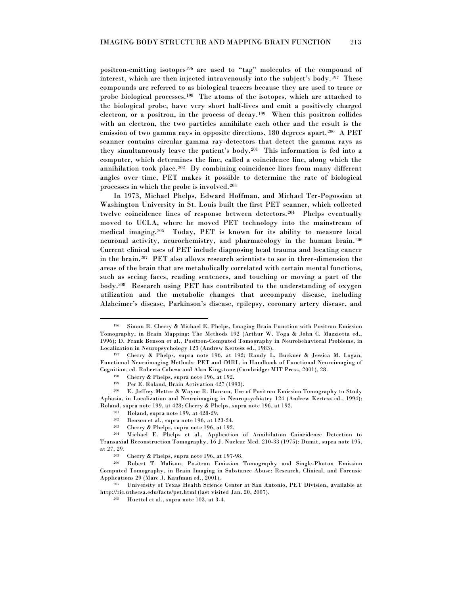positron-emitting isotopes<sup>196</sup> are used to "tag" molecules of the compound of interest, which are then injected intravenously into the subject's body.<sup>197</sup> These compounds are referred to as biological tracers because they are used to trace or probe biological processes.<sup>198</sup> The atoms of the isotopes, which are attached to the biological probe, have very short half-lives and emit a positively charged electron, or a positron, in the process of decay.<sup>199</sup> When this positron collides with an electron, the two particles annihilate each other and the result is the emission of two gamma rays in opposite directions, 180 degrees apart.<sup>200</sup> A PET scanner contains circular gamma ray-detectors that detect the gamma rays as they simultaneously leave the patient's body.<sup>201</sup> This information is fed into a computer, which determines the line, called a coincidence line, along which the annihilation took place.<sup>202</sup> By combining coincidence lines from many different angles over time, PET makes it possible to determine the rate of biological processes in which the probe is involved.<sup>203</sup>

In 1973, Michael Phelps, Edward Hoffman, and Michael Ter-Pogossian at Washington University in St. Louis built the first PET scanner, which collected twelve coincidence lines of response between detectors.<sup>204</sup> Phelps eventually moved to UCLA, where he moved PET technology into the mainstream of medical imaging.<sup>205</sup> Today, PET is known for its ability to measure local neuronal activity, neurochemistry, and pharmacology in the human brain.<sup>206</sup> Current clinical uses of PET include diagnosing head trauma and locating cancer in the brain.<sup>207</sup> PET also allows research scientists to see in three-dimension the areas of the brain that are metabolically correlated with certain mental functions, such as seeing faces, reading sentences, and touching or moving a part of the body.<sup>208</sup> Research using PET has contributed to the understanding of oxygen utilization and the metabolic changes that accompany disease, including Alzheimer's disease, Parkinson's disease, epilepsy, coronary artery disease, and

 $\overline{a}$ 

<sup>207</sup> University of Texas Health Science Center at San Antonio, PET Division, available at http://ric.uthscsa.edu/facts/pet.html (last visited Jan. 20, 2007).

Simon R. Cherry & Michael E. Phelps, Imaging Brain Function with Positron Emission Tomography, in Brain Mapping: The Methods 192 (Arthur W. Toga & John C. Mazziotta ed., 1996); D. Frank Benson et al., Positron-Computed Tomography in Neurobehavioral Problems, in Localization in Neuropsychology 123 (Andrew Kertesz ed., 1983).

<sup>197</sup> Cherry & Phelps, supra note 196, at 192; Randy L. Buckner & Jessica M. Logan, Functional Neuroimaging Methods: PET and fMRI, in Handbook of Functional Neuroimaging of Cognition, ed. Roberto Cabeza and Alan Kingstone (Cambridge: MIT Press, 2001), 28.

<sup>&</sup>lt;sup>198</sup> Cherry & Phelps, supra note 196, at 192.

Per E. Roland, Brain Activation 427 (1993).

<sup>200</sup> E. Jeffrey Metter & Wayne R. Hanson, Use of Positron Emission Tomography to Study Aphasia, in Localization and Neuroimaging in Neuropsychiatry 124 (Andrew Kertesz ed., 1994); Roland, supra note 199, at 428; Cherry & Phelps, supra note 196, at 192.

 $\frac{201}{202}$  Roland, supra note 199, at 428-29.

<sup>&</sup>lt;sup>202</sup> Benson et al., supra note 196, at 123-24.<br><sup>203</sup> Cherry & Phelps, supra note 196, at 192 Cherry & Phelps, supra note 196, at 192.

<sup>204</sup> Michael E. Phelps et al., Application of Annihilation Coincidence Detection to Transaxial Reconstruction Tomography, 16 J. Nuclear Med. 210-33 (1975); Dumit, supra note 195, at 27, 29.

<sup>&</sup>lt;sup>205</sup> Cherry & Phelps, supra note 196, at 197-98.<br><sup>206</sup> Bobert T. Malison, Positron, Emission

<sup>206</sup> Robert T. Malison, Positron Emission Tomography and Single-Photon Emission Computed Tomography, in Brain Imaging in Substance Abuse: Research, Clinical, and Forensic Applications 29 (Marc J. Kaufman ed., 2001).

<sup>208</sup> Huettel et al., supra note 103, at 3-4.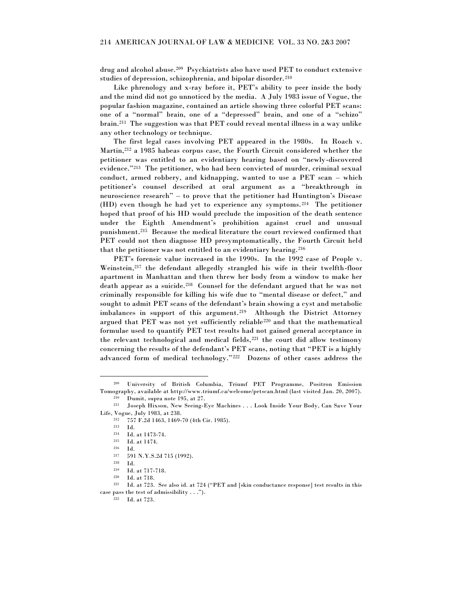drug and alcohol abuse.<sup>209</sup> Psychiatrists also have used PET to conduct extensive studies of depression, schizophrenia, and bipolar disorder.<sup>210</sup>

Like phrenology and x-ray before it, PET's ability to peer inside the body and the mind did not go unnoticed by the media. A July 1983 issue of Vogue, the popular fashion magazine, contained an article showing three colorful PET scans: one of a "normal" brain, one of a "depressed" brain, and one of a "schizo" brain.<sup>211</sup> The suggestion was that PET could reveal mental illness in a way unlike any other technology or technique.

The first legal cases involving PET appeared in the 1980s. In Roach v. Martin, <sup>212</sup> a 1985 habeas corpus case, the Fourth Circuit considered whether the petitioner was entitled to an evidentiary hearing based on "newly-discovered evidence."<sup>213</sup> The petitioner, who had been convicted of murder, criminal sexual conduct, armed robbery, and kidnapping, wanted to use a PET scan – which petitioner's counsel described at oral argument as a "breakthrough in neuroscience research" – to prove that the petitioner had Huntington's Disease (HD) even though he had yet to experience any symptoms.<sup>214</sup> The petitioner hoped that proof of his HD would preclude the imposition of the death sentence under the Eighth Amendment's prohibition against cruel and unusual punishment.<sup>215</sup> Because the medical literature the court reviewed confirmed that PET could not then diagnose HD presymptomatically, the Fourth Circuit held that the petitioner was not entitled to an evidentiary hearing. <sup>216</sup>

PET's forensic value increased in the 1990s. In the 1992 case of People v. Weinstein, <sup>217</sup> the defendant allegedly strangled his wife in their twelfth-floor apartment in Manhattan and then threw her body from a window to make her death appear as a suicide.<sup>218</sup> Counsel for the defendant argued that he was not criminally responsible for killing his wife due to "mental disease or defect," and sought to admit PET scans of the defendant's brain showing a cyst and metabolic imbalances in support of this argument.<sup>219</sup> Although the District Attorney argued that PET was not yet sufficiently reliable<sup>220</sup> and that the mathematical formulae used to quantify PET test results had not gained general acceptance in the relevant technological and medical fields,<sup>221</sup> the court did allow testimony concerning the results of the defendant's PET scans, noting that "PET is a highly advanced form of medical technology."<sup>222</sup> Dozens of other cases address the

<sup>209</sup> University of British Columbia, Triumf PET Programme, Positron Emission Tomography, available at http://www.triumf.ca/welcome/petscan.html (last visited Jan. 20, 2007). <sup>210</sup> Dumit, supra note 195, at 27.

<sup>211</sup> Joseph Hixson, New Seeing-Eye Machines . . . Look Inside Your Body, Can Save Your Life, Vogue, July 1983, at 238.

<sup>212</sup> 757 F.2d 1463, 1469-70 (4th Cir. 1985).

<sup>213</sup> Id.

 $^{214}$  Id. at 1473-74.<br> $^{215}$  Id. at 1474.

<sup>215</sup> Id. at 1474.

<sup>216</sup> Id. <sup>217</sup> 591 N.Y.S.2d 715 (1992).

<sup>218</sup> Id.

<sup>219</sup> Id. at 717-718. <sup>220</sup> Id. at 718.

<sup>&</sup>lt;sup>221</sup> Id. at 723. See also id. at 724 ("PET and [skin conductance response] test results in this case pass the test of admissibility . . .").

<sup>222</sup> Id. at 723.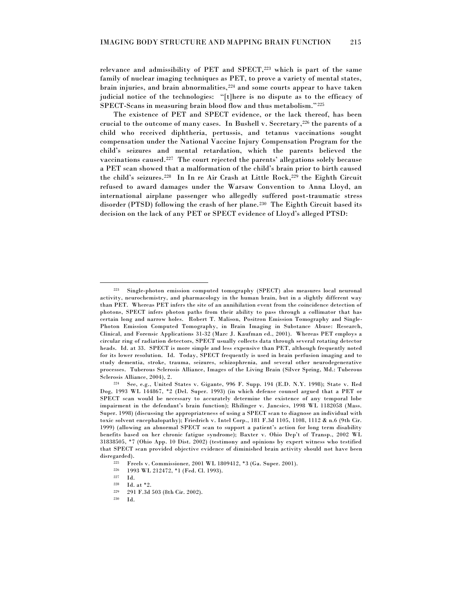relevance and admissibility of PET and SPECT,<sup>223</sup> which is part of the same family of nuclear imaging techniques as PET, to prove a variety of mental states, brain injuries, and brain abnormalities,<sup>224</sup> and some courts appear to have taken judicial notice of the technologies: ―[t]here is no dispute as to the efficacy of SPECT-Scans in measuring brain blood flow and thus metabolism."225

The existence of PET and SPECT evidence, or the lack thereof, has been crucial to the outcome of many cases. In Bushell v. Secretary, $^{226}$  the parents of a child who received diphtheria, pertussis, and tetanus vaccinations sought compensation under the National Vaccine Injury Compensation Program for the child's seizures and mental retardation, which the parents believed the vaccinations caused.<sup>227</sup> The court rejected the parents' allegations solely because a PET scan showed that a malformation of the child's brain prior to birth caused the child's seizures.<sup>228</sup> In In re Air Crash at Little Rock, <sup>229</sup> the Eighth Circuit refused to award damages under the Warsaw Convention to Anna Lloyd, an international airplane passenger who allegedly suffered post-traumatic stress disorder (PTSD) following the crash of her plane.<sup>230</sup> The Eighth Circuit based its decision on the lack of any PET or SPECT evidence of Lloyd's alleged PTSD:

<sup>226</sup> 1993 WL 212472, \*1 (Fed. Cl. 1993).

 $\overline{a}$ 

<sup>229</sup> 291 F.3d 503 (8th Cir. 2002).

<sup>223</sup> Single-photon emission computed tomography (SPECT) also measures local neuronal activity, neurochemistry, and pharmacology in the human brain, but in a slightly different way than PET. Whereas PET infers the site of an annihilation event from the coincidence detection of photons, SPECT infers photon paths from their ability to pass through a collimator that has certain long and narrow holes. Robert T. Malison, Positron Emission Tomography and Single-Photon Emission Computed Tomography, in Brain Imaging in Substance Abuse: Research, Clinical, and Forensic Applications 31-32 (Marc J. Kaufman ed., 2001). Whereas PET employs a circular ring of radiation detectors, SPECT usually collects data through several rotating detector heads. Id. at 33. SPECT is more simple and less expensive than PET, although frequently noted for its lower resolution. Id. Today, SPECT frequently is used in brain perfusion imaging and to study dementia, stroke, trauma, seizures, schizophrenia, and several other neurodegenerative processes. Tuberous Sclerosis Alliance, Images of the Living Brain (Silver Spring, Md.: Tuberous Sclerosis Alliance, 2004), 2.

<sup>224</sup> See, e.g., United States v. Gigante, 996 F. Supp. 194 (E.D. N.Y. 1998); State v. Red Dog, 1993 WL 144867, \*2 (Del. Super. 1993) (in which defense counsel argued that a PET or SPECT scan would be necessary to accurately determine the existence of any temporal lobe impairment in the defendant's brain function); Rhilinger v. Jancsics, 1998 WL 1182058 (Mass. Super. 1998) (discussing the appropriateness of using a SPECT scan to diagnose an individual with toxic solvent encephalopathy); Friedrich v. Intel Corp., 181 F.3d 1105, 1108, 1112 & n.6 (9th Cir. 1999) (allowing an abnormal SPECT scan to support a patient's action for long term disability benefits based on her chronic fatigue syndrome); Baxter v. Ohio Dep't of Transp., 2002 WL 31838505, \*7 (Ohio App. 10 Dist. 2002) (testimony and opinions by expert witness who testified that SPECT scan provided objective evidence of diminished brain activity should not have been disregarded).

<sup>&</sup>lt;sup>225</sup> Freels v. Commissioner, 2001 WL 1809412, \*3 (Ga. Super. 2001).<br><sup>226</sup> 1993 WL 212472, \*1 (Fed. Cl. 1993).

<sup>227</sup> Id.

<sup>228</sup> Id. at \*2.

<sup>230</sup> Id.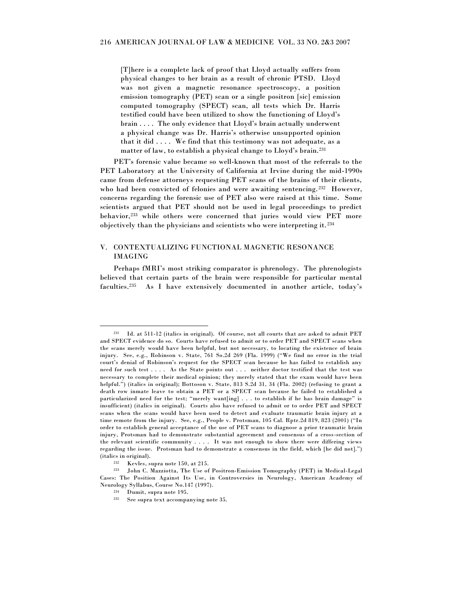[T]here is a complete lack of proof that Lloyd actually suffers from physical changes to her brain as a result of chronic PTSD. Lloyd was not given a magnetic resonance spectroscopy, a position emission tomography (PET) scan or a single positron [sic] emission computed tomography (SPECT) scan, all tests which Dr. Harris testified could have been utilized to show the functioning of Lloyd's brain . . . . The only evidence that Lloyd's brain actually underwent a physical change was Dr. Harris's otherwise unsupported opinion that it did  $\ldots$ . We find that this testimony was not adequate, as a matter of law, to establish a physical change to Lloyd's brain.<sup>231</sup>

PET's forensic value became so well-known that most of the referrals to the PET Laboratory at the University of California at Irvine during the mid-1990s came from defense attorneys requesting PET scans of the brains of their clients, who had been convicted of felonies and were awaiting sentencing.<sup>232</sup> However, concerns regarding the forensic use of PET also were raised at this time. Some scientists argued that PET should not be used in legal proceedings to predict behavior,<sup>233</sup> while others were concerned that juries would view PET more objectively than the physicians and scientists who were interpreting it. <sup>234</sup>

### V. CONTEXTUALIZING FUNCTIONAL MAGNETIC RESONANCE IMAGING

Perhaps fMRI's most striking comparator is phrenology. The phrenologists believed that certain parts of the brain were responsible for particular mental faculties.<sup>235</sup> As I have extensively documented in another article, today's

<sup>231</sup> Id. at 511-12 (italics in original). Of course, not all courts that are asked to admit PET and SPECT evidence do so. Courts have refused to admit or to order PET and SPECT scans when the scans merely would have been helpful, but not necessary, to locating the existence of brain injury. See, e.g., Robinson v. State, 761 So.2d 269 (Fla. 1999) ("We find no error in the trial court's denial of Robinson's request for the SPECT scan because he has failed to establish any need for such test . . . . As the State points out . . . neither doctor testified that the test was necessary to complete their medical opinion; they merely stated that the exam would have been helpful.") (italics in original); Bottoson v. State, 813 S.2d 31, 34 (Fla. 2002) (refusing to grant a death row inmate leave to obtain a PET or a SPECT scan because he failed to established a particularized need for the test; "merely want[ing] . . . to establish if he has brain damage" is insufficient) (italics in original). Courts also have refused to admit or to order PET and SPECT scans when the scans would have been used to detect and evaluate traumatic brain injury at a time remote from the injury. See, e.g., People v. Protsman, 105 Cal. Rptr.2d 819, 823 (2001) ("In order to establish general acceptance of the use of PET scans to diagnose a prior tr aumatic brain injury, Protsman had to demonstrate substantial agreement and consensus of a cross-section of the relevant scientific community . . . . It was not enough to show there were differing views regarding the issue. Protsman had to demonstrate a consensus in the field, which [he did not].") (italics in original).

<sup>232</sup> Kevles, supra note 150, at 215.

<sup>233</sup> John C. Mazziotta, The Use of Positron-Emission Tomography (PET) in Medical-Legal Cases: The Position Against Its Use, in Controversies in Neurology, American Academy of Neurology Syllabus, Course No.147 (1997).

<sup>234</sup> Dumit, supra note 195.

<sup>235</sup> See supra text accompanying note 35.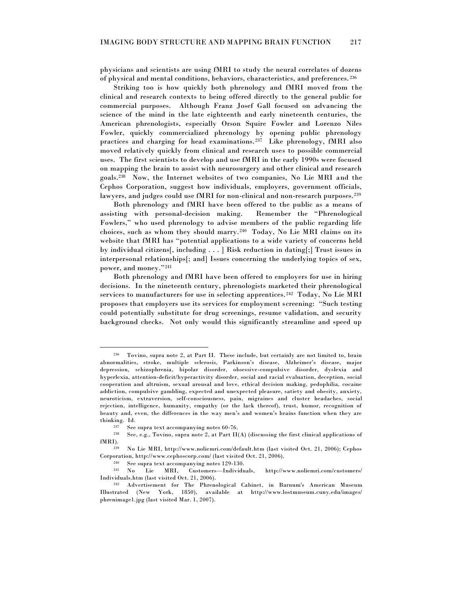physicians and scientists are using fMRI to study the neural correlates of dozens of physical and mental conditions, behaviors, characteristics, and preferences. <sup>236</sup>

Striking too is how quickly both phrenology and fMRI moved from the clinical and research contexts to being offered directly to the general public for commercial purposes. Although Franz Josef Gall focused on advancing the science of the mind in the late eighteenth and early nineteenth centuries, the American phrenologists, especially Orson Squire Fowler and Lorenzo Niles Fowler, quickly commercialized phrenology by opening public phrenology practices and charging for head examinations.<sup>237</sup> Like phrenology, fMRI also moved relatively quickly from clinical and research uses to possible commercial uses. The first scientists to develop and use fMRI in the early 1990s were focused on mapping the brain to assist with neurosurgery and other clinical and research goals.<sup>238</sup> Now, the Internet websites of two companies, No Lie MRI and the Cephos Corporation, suggest how individuals, employers, government officials, lawyers, and judges could use fMRI for non-clinical and non-research purposes.<sup>239</sup>

Both phrenology and fMRI have been offered to the public as a means of assisting with personal-decision making. Remember the "Phrenological Fowlers," who used phrenology to advise members of the public regarding life choices, such as whom they should marry.<sup>240</sup> Today, No Lie MRI claims on its website that fMRI has "potential applications to a wide variety of concerns held by individual citizens[, including . . . ] Risk reduction in dating[;] Trust issues in interpersonal relationships[; and] Issues concerning the underlying topics of sex, power, and money."<sup>241</sup>

Both phrenology and fMRI have been offered to employers for use in hiring decisions. In the nineteenth century, phrenologists marketed their phrenological services to manufacturers for use in selecting apprentices.<sup>242</sup> Today, No Lie MRI proposes that employers use its services for employment screening: "Such testing could potentially substitute for drug screenings, resume validation, and security background checks. Not only would this significantly streamline and speed up

<sup>236</sup> Tovino, supra note 2, at Part II. These include, but certainly are not limited to, brain abnormalities, stroke, multiple sclerosis, Parkinson's disease, Alzheimer's disease, major depression, schizophrenia, bipolar disorder, obsessive-compulsive disorder, dyslexia and hyperlexia, attention-deficit/hyperactivity disorder, social and racial evaluation, deception, social cooperation and altruism, sexual arousal and love, ethical decision making, pedophilia, cocaine addiction, compulsive gambling, expected and unexpected pleasure, satiety and obesity, anxiety, neuroticism, extraversion, self-consciousness, pain, migraines and cluster headaches, social rejection, intelligence, humanity, empathy (or the lack thereof), trust, humor, recognition of beauty and, even, the differences in the way men's and women's brains function when they are thinking. Id.<br> $\frac{1}{237}$  See

<sup>&</sup>lt;sup>237</sup> See supra text accompanying notes  $60-76$ .<br><sup>238</sup> See a.g. Toying supra note <sup>2</sup> at Part II.

See, e.g., Tovino, supra note 2, at Part  $II(A)$  (discussing the first clinical applications of fMRI).

<sup>239</sup> No Lie MRI, http://www.noliemri.com/default.htm (last visited Oct. 21, 2006); Cephos Corporation, http://www.cephoscorp.com/ (last visited Oct. 21, 2006).

<sup>&</sup>lt;sup>240</sup> See supra text accompanying notes 129-130.<br><sup>241</sup> No Lie MRI, Customers—Individu MRI, Customers—Individuals, http://www.noliemri.com/customers/ Individuals.htm (last visited Oct. 21, 2006).

<sup>242</sup> Advertisement for The Phrenological Cabinet, in Barnum's American Museum Illustrated (New York, 1850), available at http://www.lostmuseum.cuny.edu/images/ phrenimage1.jpg (last visited Mar. 1, 2007).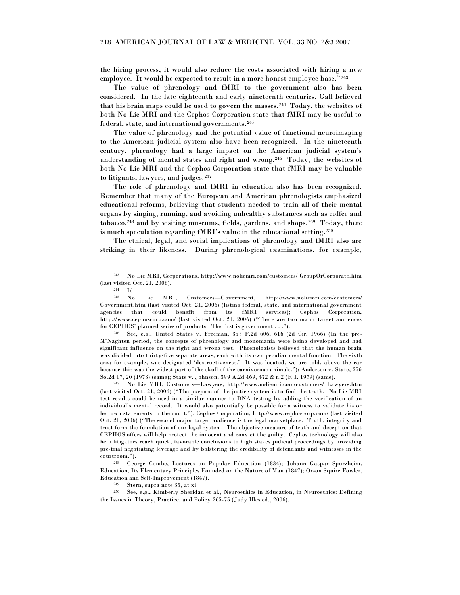the hiring process, it would also reduce the costs associated with hiring a new employee. It would be expected to result in a more honest employee base."<sup>243</sup>

The value of phrenology and fMRI to the government also has been considered. In the late eighteenth and early nineteenth centuries, Gall believed that his brain maps could be used to govern the masses.<sup>244</sup> Today, the websites of both No Lie MRI and the Cephos Corporation state that fMRI may be useful to federal, state, and international governments.<sup>245</sup>

The value of phrenology and the potential value of functional neuroimaging to the American judicial system also have been recognized. In the nineteenth century, phrenology had a large impact on the American judicial system's understanding of mental states and right and wrong.<sup>246</sup> Today, the websites of both No Lie MRI and the Cephos Corporation state that fMRI may be valuable to litigants, lawyers, and judges.<sup>247</sup>

The role of phrenology and fMRI in education also has been recognized. Remember that many of the European and American phrenologists emphasized educational reforms, believing that students needed to train all of their mental organs by singing, running, and avoiding unhealthy substances such as coffee and tobacco,<sup>248</sup> and by visiting museums, fields, gardens, and shops.<sup>249</sup> Today, there is much speculation regarding fMRI's value in the educational setting.<sup>250</sup>

The ethical, legal, and social implications of phrenology and fMRI also are striking in their likeness. During phrenological examinations, for example,

<sup>243</sup> No Lie MRI, Corporations, http://www.noliemri.com/customers/ GroupOrCorporate.htm (last visited Oct. 21, 2006).

 $\frac{244}{245}$  Id.

<sup>245</sup> No Lie MRI, Customers—Government, http://www.noliemri.com/customers/ Government.htm (last visited Oct. 21, 2006) (listing federal, state, and international government agencies that could benefit from its fMRI services); Cephos Corporation, http://www.cephoscorp.com/ (last visited Oct. 21, 2006) ("There are two major target audiences for CEPHOS' planned series of products. The first is government . . .").

<sup>246</sup> See, e.g., United States v. Freeman, 357 F.2d 606, 616 (2d Cir. 1966) (In the pre-M'Naghten period, the concepts of phrenology and monomania were being developed and had significant influence on the right and wrong test. Phrenologists believed that the human brain was divided into thirty-five separate areas, each with its own peculiar mental function. The sixth area for example, was designated 'destructiveness.' It was located, we are told, above the ear because this was the widest part of the skull of the carnivorous animals.‖); Anderson v. State, 276 So.2d 17, 20 (1973) (same); State v. Johnson, 399 A.2d 469, 472 & n.2 (R.I. 1979) (same).

<sup>247</sup> No Lie MRI, Customers—Lawyers, http://www.noliemri.com/customers/ Lawyers.htm (last visited Oct. 21, 2006) ("The purpose of the justice system is to find the truth. No Lie MRI test results could be used in a similar manner to DNA testing by adding the verification of an individual's mental record. It would also potentially be possible for a witness to validate his or her own statements to the court."); Cephos Corporation, http://www.cephoscorp.com/ (last visited Oct. 21, 2006) ("The second major target audience is the legal marketplace. Truth, integrity and trust form the foundation of our legal system. The objective measure of truth and deception that CEPHOS offers will help protect the innocent and convict the guilty. Cephos technology will also help litigators reach quick, favorable conclusions to high stakes judicial proceedings by providing pre-trial negotiating leverage and by bolstering the credibility of defendants and witnesses in the courtroom.").

<sup>248</sup> George Combe, Lectures on Popular Education (1834); Johann Gaspar Spurzheim, Education, Its Elementary Principles Founded on the Nature of Man (1847); Orson Squire Fowler, Education and Self-Improvement (1847).

<sup>249</sup> Stern, supra note 35, at xi.

<sup>250</sup> See, e.g., Kimberly Sheridan et al., Neuroethics in Education, in Neuroethics: Defining the Issues in Theory, Practice, and Policy 265-75 (Judy Illes ed., 2006).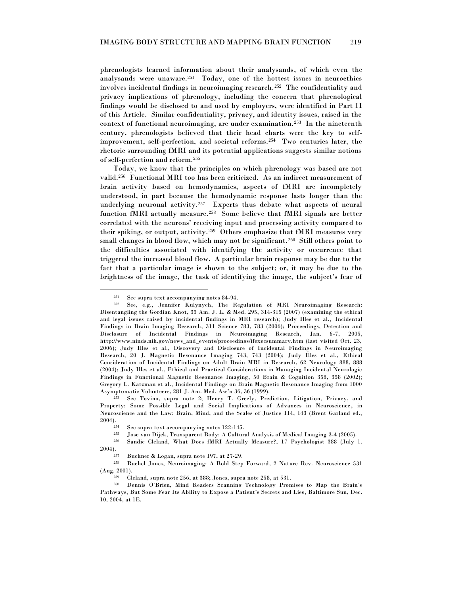phrenologists learned information about their analysands, of which even the analysands were unaware.<sup>251</sup> Today, one of the hottest issues in neuroethics involves incidental findings in neuroimaging research.<sup>252</sup> The confidentiality and privacy implications of phrenology, including the concern that phrenological findings would be disclosed to and used by employers, were identified in Part II of this Article. Similar confidentiality, privacy, and identity issues, raised in the context of functional neuroimaging, are under examination. <sup>253</sup> In the nineteenth century, phrenologists believed that their head charts were the key to selfimprovement, self-perfection, and societal reforms.<sup>254</sup> Two centuries later, the rhetoric surrounding fMRI and its potential applications suggests similar notions of self-perfection and reform.<sup>255</sup>

Today, we know that the principles on which phrenology was based are not valid.<sup>256</sup> Functional MRI too has been criticized. As an indirect measurement of brain activity based on hemodynamics, aspects of fMRI are incompletely understood, in part because the hemodynamic response lasts longer than the underlying neuronal activity.<sup>257</sup> Experts thus debate what aspects of neural function fMRI actually measure.<sup>258</sup> Some believe that fMRI signals are better correlated with the neurons' receiving input and processing activity compared to their spiking, or output, activity.<sup>259</sup> Others emphasize that fMRI measures very small changes in blood flow, which may not be significant.<sup>260</sup> Still others point to the difficulties associated with identifying the activity or occurrence that triggered the increased blood flow. A particular brain response may be due to the fact that a particular image is shown to the subject; or, it may be due to the brightness of the image, the task of identifying the image, the subject's fear of

<sup>&</sup>lt;sup>251</sup> See supra text accompanying notes  $84-94$ .<br><sup>252</sup> See a.g. Jannifer Kulunych, The Be

See, e.g., Jennifer Kulynych, The Regulation of MRI Neuroimaging Research: Disentangling the Gordian Knot, 33 Am. J. L. & Med. 295, 314-315 (2007) (examining the ethical and legal issues raised by incidental findings in MRI research); Judy Illes et al., Incidental Findings in Brain Imaging Research, 311 Science 783, 783 (2006); Proceedings, Detection and Disclosure of Incidental Findings in Neuroimaging Research, Jan. 6-7, 2005, http://www.ninds.nih.gov/news\_and\_events/proceedings/ifexecsummary.htm (last visited Oct. 23, 2006); Judy Illes et al., Discovery and Disclosure of Incidental Findings in Neuroimaging Research, 20 J. Magnetic Resonance Imaging 743, 743 (2004); Judy Illes et al., Ethical Consideration of Incidental Findings on Adult Brain MRI in Research, 62 Neurology 888, 888 (2004); Judy Illes et al., Ethical and Practical Considerations in Managing Incidental Neurologic Findings in Functional Magnetic Resonance Imaging, 50 Brain & Cognition 358, 358 (2002); Gregory L. Katzman et al., Incidental Findings on Brain Magnetic Resonance Imaging from 1000 Asymptomatic Volunteers, 281 J. Am. Med. Ass'n 36, 36 (1999).

<sup>253</sup> See Tovino, supra note 2; Henry T. Greely, Prediction, Litigation, Privacy, and Property: Some Possible Legal and Social Implications of Advances in Neuroscience, in Neuroscience and the Law: Brain, Mind, and the Scales of Justice 114, 143 (Brent Garland ed.,  $2004$ ).

<sup>&</sup>lt;sup>254</sup> See supra text accompanying notes  $122-145$ .<br><sup>255</sup> Lose van Dijck, Transparent Body: A Cultur

<sup>255</sup> Jose van Dijck, Transparent Body: A Cultural Analysis of Medical Imaging 3-4 (2005).

<sup>256</sup> Sandie Cleland, What Does fMRI Actually Measure?, 17 Psychologist 388 (July 1,

<sup>2004).</sup>

<sup>&</sup>lt;sup>257</sup> Buckner & Logan, supra note  $197$ , at  $27-29$ .<br><sup>258</sup> Bachel Jones, Neuroimaging: A Bold Step

<sup>258</sup> Rachel Jones, Neuroimaging: A Bold Step Forward, 2 Nature Rev. Neuroscience 531 (Aug. 2001).

<sup>259</sup> Cleland, supra note 256, at 388; Jones, supra note 258, at 531.

<sup>260</sup> Dennis O'Brien, Mind Readers Scanning Technology Promises to Map the Brain's Pathways, But Some Fear Its Ability to Expose a Patient's Secrets and Lies, Baltimore Sun, Dec. 10, 2004, at 1E.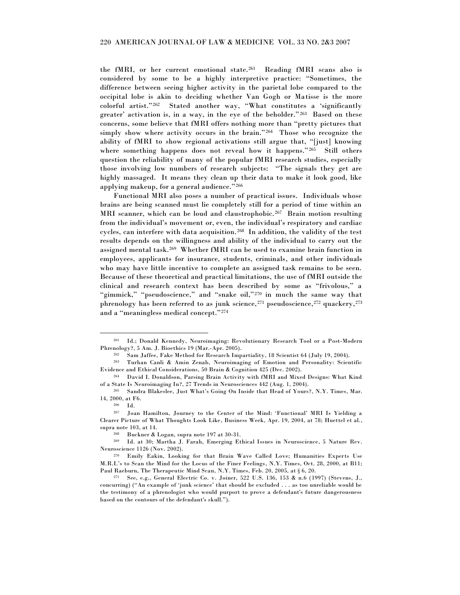the fMRI, or her current emotional state.<sup>261</sup> Reading fMRI scans also is considered by some to be a highly interpretive practice: "Sometimes, the difference between seeing higher activity in the parietal lobe compared to the occipital lobe is akin to deciding whether Van Gogh or Matisse is the more colorful artist." $262$  Stated another way, "What constitutes a 'significantly greater' activation is, in a way, in the eye of the beholder."<sup>263</sup> Based on these concerns, some believe that fMRI offers nothing more than "pretty pictures that simply show where activity occurs in the brain." $264$  Those who recognize the ability of fMRI to show regional activations still argue that, "[just] knowing where something happens does not reveal how it happens."265 Still others question the reliability of many of the popular fMRI research studies, especially those involving low numbers of research subjects: "The signals they get are highly massaged. It means they clean up their data to make it look good, like applying makeup, for a general audience."<sup>266</sup>

Functional MRI also poses a number of practical issues. Individuals whose brains are being scanned must lie completely still for a period of time within an MRI scanner, which can be loud and claustrophobic.<sup>267</sup> Brain motion resulting from the individual's movement or, even, the individual's respiratory and cardiac cycles, can interfere with data acquisition.<sup>268</sup> In addition, the validity of the test results depends on the willingness and ability of the individual to carry out the assigned mental task.<sup>269</sup> Whether fMRI can be used to examine brain function in employees, applicants for insurance, students, criminals, and other individuals who may have little incentive to complete an assigned task remains to be seen. Because of these theoretical and practical limitations, the use of fMRI outside the clinical and research context has been described by some as "frivolous," a "gimmick," "pseudoscience," and "snake oil,"<sup>270</sup> in much the same way that phrenology has been referred to as junk science,  $271$  pseudoscience,  $272$  quackery,  $273$ and a "meaningless medical concept."274

<sup>261</sup> Id.; Donald Kennedy, Neuroimaging: Revolutionary Research Tool or a Post-Modern Phrenology?, 5 Am. J. Bioethics 19 (Mar.-Apr. 2005).

<sup>262</sup> Sam Jaffee, Fake Method for Research Impartiality, 18 Scientist 64 (July 19, 2004).

<sup>263</sup> Turhan Canli & Amin Zenab, Neuroimaging of Emotion and Personality: Scientific Evidence and Ethical Considerations, 50 Brain & Cognition 425 (Dec. 2002).

<sup>264</sup> David I. Donaldson, Parsing Brain Activity with fMRI and Mixed Designs: What Kind of a State Is Neuroimaging In?, 27 Trends in Neurosciences 442 (Aug. 1, 2004).

<sup>265</sup> Sandra Blakeslee, Just What's Going On Inside that Head of Yours?, N.Y. Times, Mar. 14, 2000, at F6.

<sup>266</sup> Id.

<sup>267</sup> Joan Hamilton, Journey to the Center of the Mind: ‗Functional' MRI Is Yielding a Clearer Picture of What Thoughts Look Like, Business Week, Apr. 19, 2004, at 78; Huettel et al., supra note 103, at 14.

<sup>&</sup>lt;sup>268</sup> Buckner & Logan, supra note 197 at 30-31.<br><sup>269</sup> Ld. at 30: Martha J. Earsh. Emerging Ft.

<sup>269</sup> Id. at 30; Martha J. Farah, Emerging Ethical Issues in Neuroscience, 5 Nature Rev. Neuroscience 1126 (Nov. 2002).

<sup>270</sup> Emily Eakin, Looking for that Brain Wave Called Love; Humanities Experts Use M.R.I.'s to Scan the Mind for the Locus of the Finer Feelings, N.Y. Times, Oct. 28, 2000, at B11; Paul Raeburn, The Therapeutic Mind Scan, N.Y. Times, Feb. 20, 2005, at § 6, 20.

<sup>271</sup> See, e.g., General Electric Co. v. Joiner, 522 U.S. 136, 153 & n.6 (1997) (Stevens, J., concurring) ("An example of 'junk science' that should be excluded . . . as too unreliable would be the testimony of a phrenologist who would purport to prove a defendant's future dangerousness based on the contours of the defendant's skull.").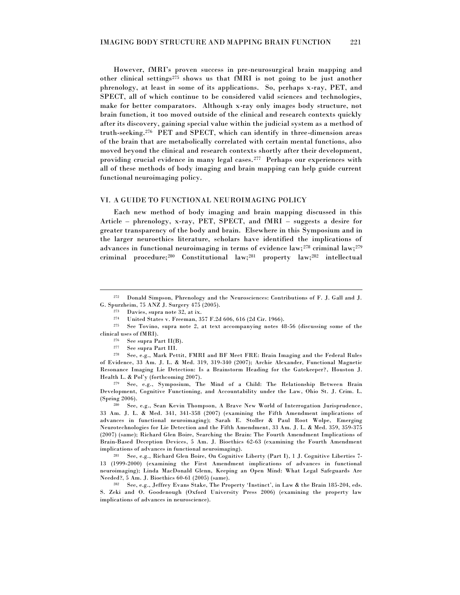However, fMRI's proven success in pre-neurosurgical brain mapping and other clinical settings<sup>275</sup> shows us that fMRI is not going to be just another phrenology, at least in some of its applications. So, perhaps x-ray, PET, and SPECT, all of which continue to be considered valid sciences and technologies, make for better comparators. Although x-ray only images body structure, not brain function, it too moved outside of the clinical and research contexts quickly after its discovery, gaining special value within the judicial system as a method of truth-seeking.<sup>276</sup> PET and SPECT, which can identify in three-dimension areas of the brain that are metabolically correlated with certain mental functions, also moved beyond the clinical and research contexts shortly after their development, providing crucial evidence in many legal cases.<sup>277</sup> Perhaps our experiences with all of these methods of body imaging and brain mapping can help guide current functional neuroimaging policy.

#### VI. A GUIDE TO FUNCTIONAL NEUROIMAGING POLICY

Each new method of body imaging and brain mapping discussed in this Article – phrenology, x-ray, PET, SPECT, and fMRI – suggests a desire for greater transparency of the body and brain. Elsewhere in this Symposium and in the larger neuroethics literature, scholars have identified the implications of advances in functional neuroimaging in terms of evidence law; <sup>278</sup> criminal law;<sup>279</sup> criminal procedure;<sup>280</sup> Constitutional law;<sup>281</sup> property law;<sup>282</sup> intellectual

<sup>272</sup> Donald Simpson, Phrenology and the Neurosciences: Contributions of F. J. Gall and J. G. Spurzheim, 75 ANZ J. Surgery 475 (2005).

<sup>&</sup>lt;sup>273</sup> Davies, supra note 32, at ix.

<sup>274</sup> United States v. Freeman, 357 F.2d 606, 616 (2d Cir. 1966).

<sup>275</sup> See Tovino, supra note 2, at text accompanying notes 48-56 (discussing some of the clinical uses of fMRI).

<sup>&</sup>lt;sup>276</sup> See supra Part  $II(B)$ .<br><sup>277</sup> See supra Part III

<sup>&</sup>lt;sup>277</sup> See supra Part III.<br><sup>278</sup> See e.g. Mark Pet

See, e.g., Mark Pettit, FMRI and BF Meet FRE: Brain Imaging and the Federal Rules of Evidence, 33 Am. J. L. & Med. 319, 319-340 (2007); Archie Alexander, Functional Magnetic Resonance Imaging Lie Detection: Is a Brainstorm Heading for the Gatekeeper?, Houston J. Health L. & Pol'y (forthcoming 2007).

<sup>279</sup> See, e.g., Symposium, The Mind of a Child: The Relationship Between Brain Development, Cognitive Functioning, and Accountability under the Law, Ohio St. J. Crim. L. (Spring 2006).

See, e.g., Sean Kevin Thompson, A Brave New World of Interrogation Jurisprudence, 33 Am. J. L. & Med. 341, 341-358 (2007) (examining the Fifth Amendment implications of advances in functional neuroimaging); Sarah E. Stoller & Paul Root Wolpe, Emerging Neurotechnologies for Lie Detection and the Fifth Amendment, 33 Am. J. L. & Med. 359, 359-375 (2007) (same); Richard Glen Boire, Searching the Brain: The Fourth Amendment Implications of Brain-Based Deception Devices, 5 Am. J. Bioethics 62-63 (examining the Fourth Amendment implications of advances in functional neuroimaging).

<sup>281</sup> See, e.g., Richard Glen Boire, On Cognitive Liberty (Part I), 1 J. Cognitive Liberties 7- 13 (1999-2000) (examining the First Amendment implications of advances in functional neuroimaging); Linda MacDonald Glenn, Keeping an Open Mind: What Legal Safeguards Are Needed?, 5 Am. J. Bioethics 60-61 (2005) (same).

<sup>282</sup> See, e.g., Jeffrey Evans Stake, The Property ‗Instinct', in Law & the Brain 185-204, eds. S. Zeki and O. Goodenough (Oxford University Press 2006) (examining the property law implications of advances in neuroscience).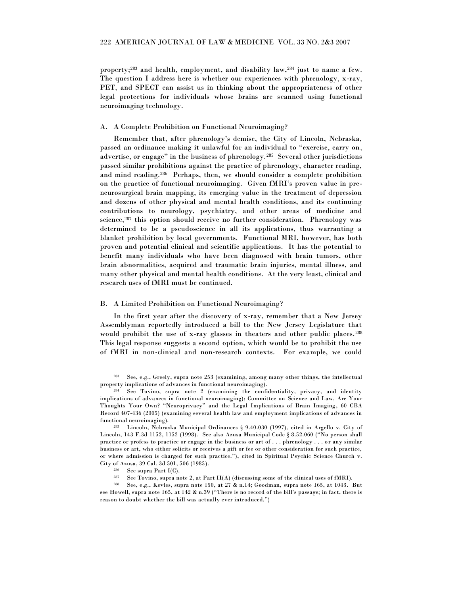property;<sup>283</sup> and health, employment, and disability law,<sup>284</sup> just to name a few. The question I address here is whether our experiences with phrenology, x-ray, PET, and SPECT can assist us in thinking about the appropriateness of other legal protections for individuals whose brains are scanned using functional neuroimaging technology.

#### A. A Complete Prohibition on Functional Neuroimaging?

Remember that, after phrenology's demise, the City of Lincoln, Nebraska, passed an ordinance making it unlawful for an individual to "exercise, carry on, advertise, or engage" in the business of phrenology.<sup>285</sup> Several other jurisdictions passed similar prohibitions against the practice of phrenology, character reading, and mind reading.<sup>286</sup> Perhaps, then, we should consider a complete prohibition on the practice of functional neuroimaging. Given fMRI's proven value in preneurosurgical brain mapping, its emerging value in the treatment of depression and dozens of other physical and mental health conditions, and its continuing contributions to neurology, psychiatry, and other areas of medicine and science,<sup>287</sup> this option should receive no further consideration. Phrenology was determined to be a pseudoscience in all its applications, thus warranting a blanket prohibition by local governments. Functional MRI, however, has both proven and potential clinical and scientific applications. It has the potential to benefit many individuals who have been diagnosed with brain tumors, other brain abnormalities, acquired and traumatic brain injuries, mental illness, and many other physical and mental health conditions. At the very least, clinical and research uses of fMRI must be continued.

#### B. A Limited Prohibition on Functional Neuroimaging?

In the first year after the discovery of x-ray, remember that a New Jersey Assemblyman reportedly introduced a bill to the New Jersey Legislature that would prohibit the use of x-ray glasses in theaters and other public places.<sup>288</sup> This legal response suggests a second option, which would be to prohibit the use of fMRI in non-clinical and non-research contexts. For example, we could

<sup>283</sup> See, e.g., Greely, supra note 253 (examining, among many other things, the intellectual property implications of advances in functional neuroimaging).

<sup>284</sup> See Tovino, supra note 2 (examining the confidentiality, privacy, and identity implications of advances in functional neuroimaging); Committee on Science and Law, Are Your Thoughts Your Own? "Neuroprivacy" and the Legal Implications of Brain Imaging, 60 CBA Record 407-436 (2005) (examining several health law and employment implications of advances in functional neuroimaging).

<sup>285</sup> Lincoln, Nebraska Municipal Ordinances § 9.40.030 (1997), cited in Argello v. City of Lincoln, 143 F.3d 1152, 1152 (1998). See also Azusa Municipal Code § 8.52.060 ("No person shall practice or profess to practice or engage in the business or art of . . . phrenology . . . or any similar business or art, who either solicits or receives a gift or fee or other consideration for such practice, or where admission is charged for such practice.‖), cited in Spiritual Psychic Science Church v. City of Azusa, 39 Cal. 3d 501, 506 (1985).

<sup>286</sup> See supra Part I(C).

<sup>287</sup> See Tovino, supra note 2, at Part II(A) (discussing some of the clinical uses of fMRI).

<sup>288</sup> See, e.g., Kevles, supra note 150, at 27 & n.14; Goodman, supra note 165, at 1043. But see Howell, supra note 165, at 142 & n.39 ("There is no record of the bill's passage; in fact, there is reason to doubt whether the bill was actually ever introduced.")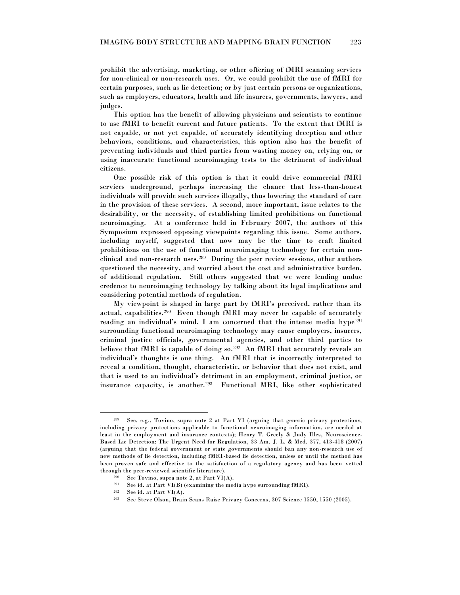prohibit the advertising, marketing, or other offering of fMRI scanning services for non-clinical or non-research uses. Or, we could prohibit the use of fMRI for certain purposes, such as lie detection; or by just certain persons or organizations, such as employers, educators, health and life insurers, governments, lawyers, and judges.

This option has the benefit of allowing physicians and scientists to continue to use fMRI to benefit current and future patients. To the extent that fMRI is not capable, or not yet capable, of accurately identifying deception and other behaviors, conditions, and characteristics, this option also has the benefit of preventing individuals and third parties from wasting money on, relying on, or using inaccurate functional neuroimaging tests to the detriment of individual citizens.

One possible risk of this option is that it could drive commercial fMRI services underground, perhaps increasing the chance that less-than-honest individuals will provide such services illegally, thus lowering the standard of care in the provision of these services. A second, more important, issue relates to the desirability, or the necessity, of establishing limited prohibitions on functional neuroimaging. At a conference held in February 2007, the authors of this Symposium expressed opposing viewpoints regarding this issue. Some authors, including myself, suggested that now may be the time to craft limited prohibitions on the use of functional neuroimaging technology for certain nonclinical and non-research uses.<sup>289</sup> During the peer review sessions, other authors questioned the necessity, and worried about the cost and administrative burden, of additional regulation. Still others suggested that we were lending undue credence to neuroimaging technology by talking about its legal implications and considering potential methods of regulation.

My viewpoint is shaped in large part by fMRI's perceived, rather than its actual, capabilities.<sup>290</sup> Even though fMRI may never be capable of accurately reading an individual's mind, I am concerned that the intense media hype<sup>291</sup> surrounding functional neuroimaging technology may cause employers, insurers, criminal justice officials, governmental agencies, and other third parties to believe that fMRI is capable of doing so.<sup>292</sup> An fMRI that accurately reveals an individual's thoughts is one thing. An fMRI that is incorrectly interpreted to reveal a condition, thought, characteristic, or behavior that does not exist, and that is used to an individual's detriment in an employment, criminal justice, or insurance capacity, is another.<sup>293</sup> Functional MRI, like other sophisticated

<sup>289</sup> See, e.g., Tovino, supra note 2 at Part VI (arguing that generic privacy protections, including privacy protections applicable to functional neuroimaging information, are needed at least in the employment and insurance contexts); Henry T. Greely & Judy Illes, Neuroscience-Based Lie Detection: The Urgent Need for Regulation, 33 Am. J. L. & Med. 377, 413-418 (2007) (arguing that the federal government or state governments should ban any non-research use of new methods of lie detection, including fMRI-based lie detection, unless or until the method has been proven safe and effective to the satisfaction of a regulatory agency and has been vetted through the peer-reviewed scientific literature).

 $290$  See Tovino, supra note 2, at Part VI(A).

 $291$  See id. at Part VI(B) (examining the media hype surrounding fMRI).

 $292$  See id. at Part VI(A).

<sup>293</sup> See Steve Olson, Brain Scans Raise Privacy Concerns, 307 Science 1550, 1550 (2005).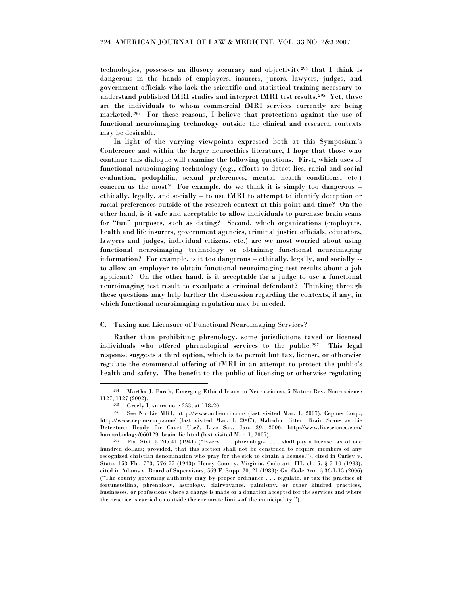technologies, possesses an illusory accuracy and objectivity<sup>294</sup> that I think is dangerous in the hands of employers, insurers, jurors, lawyers, judges, and government officials who lack the scientific and statistical training necessary to understand published fMRI studies and interpret fMRI test results.<sup>295</sup> Yet, these are the individuals to whom commercial fMRI services currently are being marketed.<sup>296</sup> For these reasons, I believe that protections against the use of functional neuroimaging technology outside the clinical and research contexts may be desirable.

In light of the varying viewpoints expressed both at this Symposium's Conference and within the larger neuroethics literature, I hope that those who continue this dialogue will examine the following questions. First, which uses of functional neuroimaging technology (e.g., efforts to detect lies, racial and social evaluation, pedophilia, sexual preferences, mental health conditions, etc.) concern us the most? For example, do we think it is simply too dangerous – ethically, legally, and socially – to use fMRI to attempt to identify deception or racial preferences outside of the research context at this point and time? On the other hand, is it safe and acceptable to allow individuals to purchase brain scans for "fun" purposes, such as dating? Second, which organizations (employers, health and life insurers, government agencies, criminal justice officials, educators, lawyers and judges, individual citizens, etc.) are we most worried about using functional neuroimaging technology or obtaining functional neuroimaging information? For example, is it too dangerous – ethically, legally, and socially - to allow an employer to obtain functional neuroimaging test results about a job applicant? On the other hand, is it acceptable for a judge to use a functional neuroimaging test result to exculpate a criminal defendant? Thinking through these questions may help further the discussion regarding the contexts, if any, in which functional neuroimaging regulation may be needed.

#### C. Taxing and Licensure of Functional Neuroimaging Services?

Rather than prohibiting phrenology, some jurisdictions taxed or licensed individuals who offered phrenological services to the public.<sup>297</sup> This legal response suggests a third option, which is to permit but tax, license, or otherwise regulate the commercial offering of fMRI in an attempt to protect the public's health and safety. The benefit to the public of licensing or otherwise regulating

<sup>294</sup> Martha J. Farah, Emerging Ethical Issues in Neuroscience, 5 Nature Rev. Neuroscience 1127, 1127 (2002).

<sup>295</sup> Greely I, supra note 253, at 118-20.

<sup>296</sup> See No Lie MRI, http://www.noliemri.com/ (last visited Mar. 1, 2007); Cephos Corp., http://www.cephoscorp.com/ (last visited Mar. 1, 2007); Malcolm Ritter, Brain Scans as Lie Detectors: Ready for Court Use?, Live Sci., Jan. 29, 2006, http://www.livescience.com/ humanbiology/060129\_brain\_lie.html (last visited Mar. 1, 2007).

<sup>&</sup>lt;sup>297</sup> Fla. Stat. § 205.41 (1941) ("Every . . . phrenologist . . . shall pay a license tax of one hundred dollars; provided, that this section shall not be construed to require members of any recognized christian denomination who pray for the sick to obtain a license."), cited in Curley v. State, 153 Fla. 773, 776-77 (1943); Henry County, Virginia, Code art. III, ch. 5, § 5-10 (1983), cited in Adams v. Board of Supervisors, 569 F. Supp. 20, 21 (1983); Ga. Code Ann. § 36-1-15 (2006) (―The county governing authority may by proper ordinance . . . regulate, or tax the practice of fortunetelling, phrenology, astrology, clairvoyance, palmistry, or other kindred practices, businesses, or professions where a charge is made or a donation accepted for the services and where the practice is carried on outside the corporate limits of the municipality.").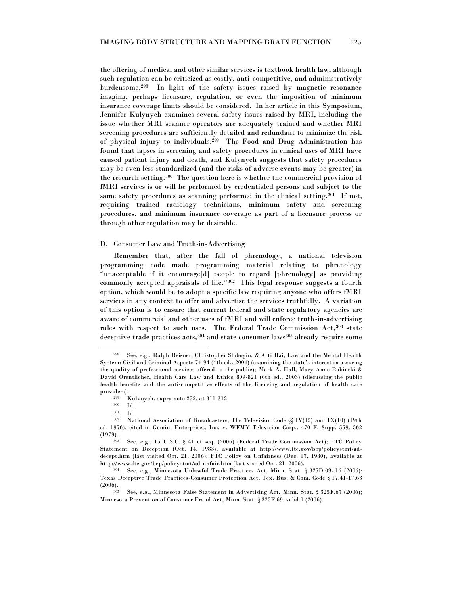the offering of medical and other similar services is textbook health law, although such regulation can be criticized as costly, anti-competitive, and administratively burdensome.<sup>298</sup> In light of the safety issues raised by magnetic resonance imaging, perhaps licensure, regulation, or even the imposition of minimum insurance coverage limits should be considered. In her article in this Symposium, Jennifer Kulynych examines several safety issues raised by MRI, including the issue whether MRI scanner operators are adequately trained and whether MRI screening procedures are sufficiently detailed and redundant to minimize the risk of physical injury to individuals.<sup>299</sup> The Food and Drug Administration has found that lapses in screening and safety procedures in clinical uses of MRI have caused patient injury and death, and Kulynych suggests that safety procedures may be even less standardized (and the risks of adverse events may be greater) in the research setting.<sup>300</sup> The question here is whether the commercial provision of fMRI services is or will be performed by credentialed persons and subject to the same safety procedures as scanning performed in the clinical setting.<sup>301</sup> If not, requiring trained radiology technicians, minimum safety and screening procedures, and minimum insurance coverage as part of a licensure process or through other regulation may be desirable.

#### D. Consumer Law and Truth-in-Advertising

Remember that, after the fall of phrenology, a national television programming code made programming material relating to phrenology ―unacceptable if it encourage[d] people to regard [phrenology] as providing commonly accepted appraisals of life."<sup>302</sup> This legal response suggests a fourth option, which would be to adopt a specific law requiring anyone who offers fMRI services in any context to offer and advertise the services truthfully. A variation of this option is to ensure that current federal and state regulatory agencies are aware of commercial and other uses of fMRI and will enforce truth-in-advertising rules with respect to such uses. The Federal Trade Commission Act, <sup>303</sup> state deceptive trade practices acts, 304 and state consumer laws<sup>305</sup> already require some

<sup>298</sup> See, e.g., Ralph Reisner, Christopher Slobogin, & Arti Rai, Law and the Mental Health System: Civil and Criminal Aspects 74-94 (4th ed., 2004) (examining the state's interest in assuring the quality of professional services offered to the public); Mark A. Hall, Mary Anne Bobinski & David Orentlicher, Health Care Law and Ethics 809-821 (6th ed., 2003) (discussing the public health benefits and the anti-competitive effects of the licensing and regulation of health care providers).

 $\frac{299}{300}$  Kulynych, supra note 252, at 311-312.

<sup>300</sup> Id.

 $301$  Id.<br> $302$  Na

National Association of Broadcasters, The Television Code §§ IV(12) and IX(10) (19th ed. 1976), cited in Gemini Enterprises, Inc. v. WFMY Television Corp., 470 F. Supp. 559, 562 (1979).

<sup>303</sup> See, e.g., 15 U.S.C. § 41 et seq. (2006) (Federal Trade Commission Act); FTC Policy Statement on Deception (Oct. 14, 1983), available at http://www.ftc.gov/bcp/policystmt/addecept.htm (last visited Oct. 21, 2006); FTC Policy on Unfairness (Dec. 17, 1980), available at http://www.ftc.gov/bcp/policystmt/ad-unfair.htm (last visited Oct. 21, 2006).

<sup>304</sup> See, e.g., Minnesota Unlawful Trade Practices Act, Minn. Stat. § 325D.09-.16 (2006); Texas Deceptive Trade Practices-Consumer Protection Act, Tex. Bus. & Com. Code § 17.41-17.63 (2006).

<sup>305</sup> See, e.g., Minnesota False Statement in Advertising Act, Minn. Stat. § 325F.67 (2006); Minnesota Prevention of Consumer Fraud Act, Minn. Stat. § 325F.69, subd.1 (2006).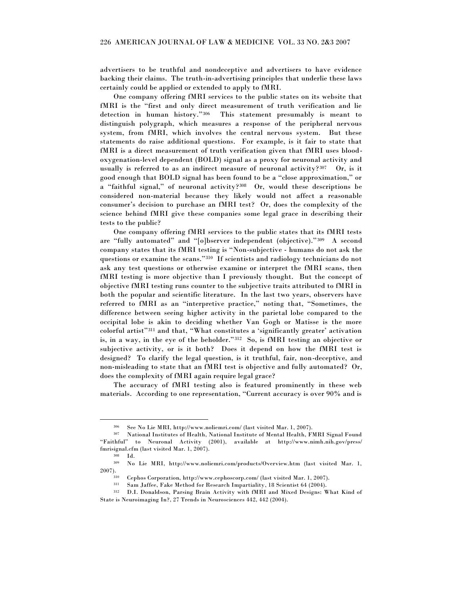advertisers to be truthful and nondeceptive and advertisers to have evidence backing their claims. The truth-in-advertising principles that underlie these laws certainly could be applied or extended to apply to fMRI.

One company offering fMRI services to the public states on its website that fMRI is the "first and only direct measurement of truth verification and lie detection in human history."306 This statement presumably is meant to distinguish polygraph, which measures a response of the peripheral nervous system, from fMRI, which involves the central nervous system. But these statements do raise additional questions. For example, is it fair to state that fMRI is a direct measurement of truth verification given that fMRI uses bloodoxygenation-level dependent (BOLD) signal as a proxy for neuronal activity and usually is referred to as an indirect measure of neuronal activity? $307$  Or, is it good enough that BOLD signal has been found to be a "close approximation," or a "faithful signal," of neuronal activity? $308$  Or, would these descriptions be considered non-material because they likely would not affect a reasonable consumer's decision to purchase an fMRI test? Or, does the complexity of the science behind fMRI give these companies some legal grace in describing their tests to the public?

One company offering fMRI services to the public states that its fMRI tests are "fully automated" and "[o]bserver independent (objective)."309 A second company states that its fMRI testing is "Non-subjective - humans do not ask the questions or examine the scans."<sup>310</sup> If scientists and radiology technicians do not ask any test questions or otherwise examine or interpret the fMRI scans, then fMRI testing is more objective than I previously thought. But the concept of objective fMRI testing runs counter to the subjective traits attributed to fMRI in both the popular and scientific literature. In the last two years, observers have referred to fMRI as an "interpretive practice," noting that, "Sometimes, the difference between seeing higher activity in the parietal lobe compared to the occipital lobe is akin to deciding whether Van Gogh or Matisse is the more colorful artist"<sup>311</sup> and that, "What constitutes a 'significantly greater' activation is, in a way, in the eye of the beholder."<sup>312</sup> So, is fMRI testing an objective or subjective activity, or is it both? Does it depend on how the fMRI test is designed? To clarify the legal question, is it truthful, fair, non-deceptive, and non-misleading to state that an fMRI test is objective and fully automated? Or, does the complexity of fMRI again require legal grace?

The accuracy of fMRI testing also is featured prominently in these web materials. According to one representation, "Current accuracy is over 90% and is

<sup>306</sup> See No Lie MRI, http://www.noliemri.com/ (last visited Mar. 1, 2007).

<sup>307</sup> National Institutes of Health, National Institute of Mental Health, FMRI Signal Found ―Faithful‖ to Neuronal Activity (2001), available at http://www.nimh.nih.gov/press/ fmrisignal.cfm (last visited Mar. 1, 2007).

 $308$  Id.<br> $309$  N<sub>o</sub>

<sup>309</sup> No Lie MRI, http://www.noliemri.com/products/Overview.htm (last visited Mar. 1, 2007).

<sup>310</sup> Cephos Corporation, http://www.cephoscorp.com/ (last visited Mar. 1, 2007).

<sup>311</sup> Sam Jaffee, Fake Method for Research Impartiality, 18 Scientist 64 (2004).

<sup>312</sup> D.I. Donaldson, Parsing Brain Activity with fMRI and Mixed Designs: What Kind of State is Neuroimaging In?, 27 Trends in Neurosciences 442, 442 (2004).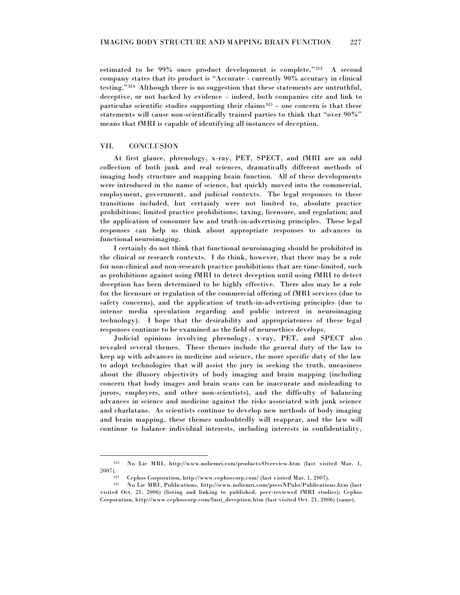estimated to be 99% once product development is complete." $313$  A second company states that its product is "Accurate - currently 90% accuracy in clinical testing."<sup>314</sup> Although there is no suggestion that these statements are untruthful, deceptive, or not backed by evidence – indeed, both companies cite and link to particular scientific studies supporting their claims $315$  – one concern is that these statements will cause non-scientifically trained parties to think that "over 90%" means that fMRI is capable of identifying all instances of deception.

#### VII. CONCLUSION

 $\overline{a}$ 

At first glance, phrenology, x-ray, PET, SPECT, and fMRI are an odd collection of both junk and real sciences, dramatically different methods of imaging body structure and mapping brain function. All of these developments were introduced in the name of science, but quickly moved into the commercial, employment, government, and judicial contexts. The legal responses to these transitions included, but certainly were not limited to, absolute practice prohibitions; limited practice prohibitions; taxing, licensure, and regulation; and the application of consumer law and truth-in-advertising principles. These legal responses can help us think about appropriate responses to advances in functional neuroimaging.

I certainly do not think that functional neuroimaging should be prohibited in the clinical or research contexts. I do think, however, that there may be a role for non-clinical and non-research practice prohibitions that are time-limited, such as prohibitions against using fMRI to detect deception until using fMRI to detect deception has been determined to be highly effective. There also may be a role for the licensure or regulation of the commercial offering of fMRI services (due to safety concerns), and the application of truth-in-advertising principles (due to intense media speculation regarding and public interest in neuroimaging technology). I hope that the desirability and appropriateness of these legal responses continue to be examined as the field of neuroethics develops.

Judicial opinions involving phrenology, x-ray, PET, and SPECT also revealed several themes. These themes include the general duty of the law to keep up with advances in medicine and science, the more specific duty of the law to adopt technologies that will assist the jury in seeking the truth, uneasiness about the illusory objectivity of body imaging and brain mapping (including concern that body images and brain scans can be inaccurate and misleading to jurors, employers, and other non-scientists), and the difficulty of balancing advances in science and medicine against the risks associated with junk science and charlatans. As scientists continue to develop new methods of body imaging and brain mapping, these themes undoubtedly will reappear, and the law will continue to balance individual interests, including interests in confidentiality,

<sup>313</sup> No Lie MRI, http://www.noliemri.com/products/Overview.htm (last visited Mar. 1, 2007).

<sup>314</sup> Cephos Corporation, http://www.cephoscorp.com/ (last visited Mar. 1, 2007).

<sup>315</sup> No Lie MRI, Publications, http://www.noliemri.com/pressNPubs/Publications.htm (last visited Oct. 21, 2006) (listing and linking to published, peer-reviewed fMRI studies); Cephos Corporation, http://www.cephoscorp.com/fmri\_deception.htm (last visited Oct. 21, 2006) (same).